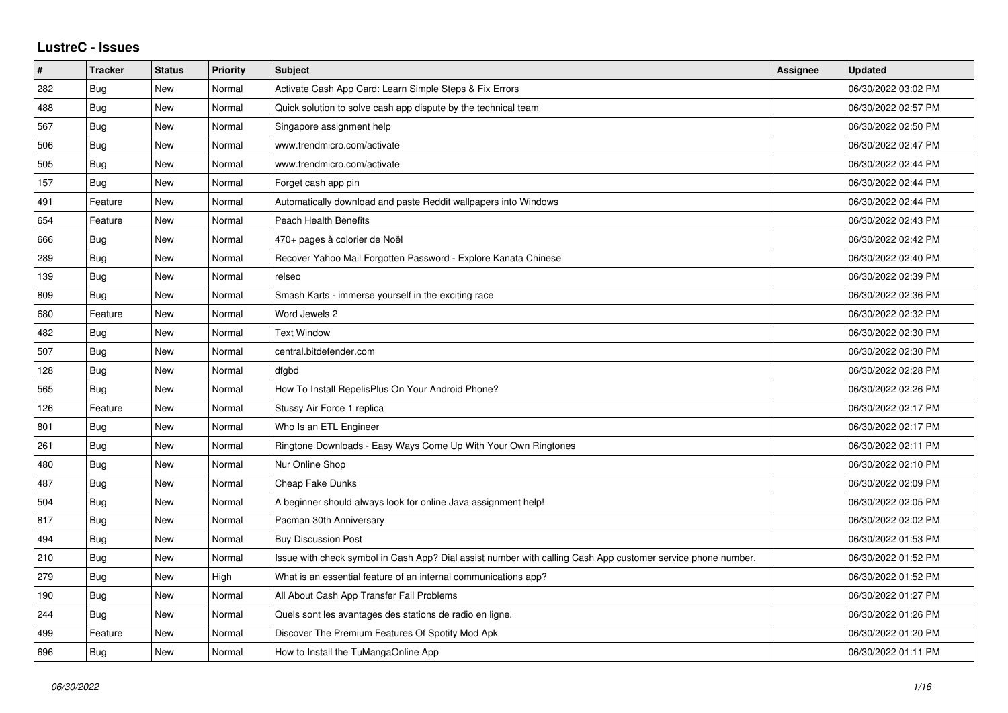## **LustreC - Issues**

| $\vert$ # | <b>Tracker</b> | <b>Status</b> | <b>Priority</b> | <b>Subject</b>                                                                                               | Assignee | <b>Updated</b>      |
|-----------|----------------|---------------|-----------------|--------------------------------------------------------------------------------------------------------------|----------|---------------------|
| 282       | Bug            | New           | Normal          | Activate Cash App Card: Learn Simple Steps & Fix Errors                                                      |          | 06/30/2022 03:02 PM |
| 488       | Bug            | <b>New</b>    | Normal          | Quick solution to solve cash app dispute by the technical team                                               |          | 06/30/2022 02:57 PM |
| 567       | <b>Bug</b>     | New           | Normal          | Singapore assignment help                                                                                    |          | 06/30/2022 02:50 PM |
| 506       | <b>Bug</b>     | <b>New</b>    | Normal          | www.trendmicro.com/activate                                                                                  |          | 06/30/2022 02:47 PM |
| 505       | Bug            | New           | Normal          | www.trendmicro.com/activate                                                                                  |          | 06/30/2022 02:44 PM |
| 157       | Bug            | New           | Normal          | Forget cash app pin                                                                                          |          | 06/30/2022 02:44 PM |
| 491       | Feature        | <b>New</b>    | Normal          | Automatically download and paste Reddit wallpapers into Windows                                              |          | 06/30/2022 02:44 PM |
| 654       | Feature        | New           | Normal          | <b>Peach Health Benefits</b>                                                                                 |          | 06/30/2022 02:43 PM |
| 666       | Bug            | New           | Normal          | 470+ pages à colorier de Noël                                                                                |          | 06/30/2022 02:42 PM |
| 289       | <b>Bug</b>     | <b>New</b>    | Normal          | Recover Yahoo Mail Forgotten Password - Explore Kanata Chinese                                               |          | 06/30/2022 02:40 PM |
| 139       | Bug            | New           | Normal          | relseo                                                                                                       |          | 06/30/2022 02:39 PM |
| 809       | Bug            | New           | Normal          | Smash Karts - immerse yourself in the exciting race                                                          |          | 06/30/2022 02:36 PM |
| 680       | Feature        | <b>New</b>    | Normal          | Word Jewels 2                                                                                                |          | 06/30/2022 02:32 PM |
| 482       | Bug            | New           | Normal          | <b>Text Window</b>                                                                                           |          | 06/30/2022 02:30 PM |
| 507       | Bug            | New           | Normal          | central.bitdefender.com                                                                                      |          | 06/30/2022 02:30 PM |
| 128       | Bug            | New           | Normal          | dfgbd                                                                                                        |          | 06/30/2022 02:28 PM |
| 565       | Bug            | New           | Normal          | How To Install RepelisPlus On Your Android Phone?                                                            |          | 06/30/2022 02:26 PM |
| 126       | Feature        | New           | Normal          | Stussy Air Force 1 replica                                                                                   |          | 06/30/2022 02:17 PM |
| 801       | <b>Bug</b>     | <b>New</b>    | Normal          | Who Is an ETL Engineer                                                                                       |          | 06/30/2022 02:17 PM |
| 261       | <b>Bug</b>     | New           | Normal          | Ringtone Downloads - Easy Ways Come Up With Your Own Ringtones                                               |          | 06/30/2022 02:11 PM |
| 480       | Bug            | New           | Normal          | Nur Online Shop                                                                                              |          | 06/30/2022 02:10 PM |
| 487       | <b>Bug</b>     | <b>New</b>    | Normal          | Cheap Fake Dunks                                                                                             |          | 06/30/2022 02:09 PM |
| 504       | Bug            | New           | Normal          | A beginner should always look for online Java assignment help!                                               |          | 06/30/2022 02:05 PM |
| 817       | Bug            | <b>New</b>    | Normal          | Pacman 30th Anniversary                                                                                      |          | 06/30/2022 02:02 PM |
| 494       | Bug            | New           | Normal          | <b>Buy Discussion Post</b>                                                                                   |          | 06/30/2022 01:53 PM |
| 210       | Bug            | New           | Normal          | Issue with check symbol in Cash App? Dial assist number with calling Cash App customer service phone number. |          | 06/30/2022 01:52 PM |
| 279       | Bug            | New           | High            | What is an essential feature of an internal communications app?                                              |          | 06/30/2022 01:52 PM |
| 190       | Bug            | New           | Normal          | All About Cash App Transfer Fail Problems                                                                    |          | 06/30/2022 01:27 PM |
| 244       | Bug            | New           | Normal          | Quels sont les avantages des stations de radio en ligne.                                                     |          | 06/30/2022 01:26 PM |
| 499       | Feature        | New           | Normal          | Discover The Premium Features Of Spotify Mod Apk                                                             |          | 06/30/2022 01:20 PM |
| 696       | Bug            | New           | Normal          | How to Install the TuMangaOnline App                                                                         |          | 06/30/2022 01:11 PM |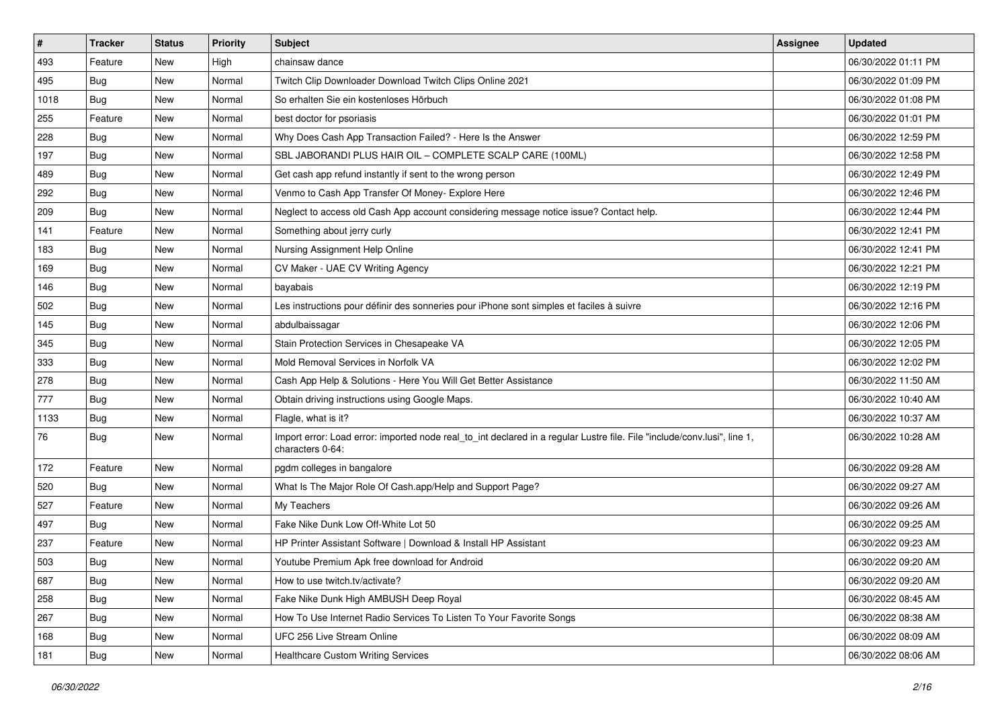| $\vert$ # | <b>Tracker</b> | <b>Status</b> | <b>Priority</b> | <b>Subject</b>                                                                                                                               | <b>Assignee</b> | <b>Updated</b>      |
|-----------|----------------|---------------|-----------------|----------------------------------------------------------------------------------------------------------------------------------------------|-----------------|---------------------|
| 493       | Feature        | New           | High            | chainsaw dance                                                                                                                               |                 | 06/30/2022 01:11 PM |
| 495       | <b>Bug</b>     | New           | Normal          | Twitch Clip Downloader Download Twitch Clips Online 2021                                                                                     |                 | 06/30/2022 01:09 PM |
| 1018      | Bug            | New           | Normal          | So erhalten Sie ein kostenloses Hörbuch                                                                                                      |                 | 06/30/2022 01:08 PM |
| 255       | Feature        | New           | Normal          | best doctor for psoriasis                                                                                                                    |                 | 06/30/2022 01:01 PM |
| 228       | <b>Bug</b>     | New           | Normal          | Why Does Cash App Transaction Failed? - Here Is the Answer                                                                                   |                 | 06/30/2022 12:59 PM |
| 197       | <b>Bug</b>     | New           | Normal          | SBL JABORANDI PLUS HAIR OIL - COMPLETE SCALP CARE (100ML)                                                                                    |                 | 06/30/2022 12:58 PM |
| 489       | Bug            | New           | Normal          | Get cash app refund instantly if sent to the wrong person                                                                                    |                 | 06/30/2022 12:49 PM |
| 292       | <b>Bug</b>     | New           | Normal          | Venmo to Cash App Transfer Of Money- Explore Here                                                                                            |                 | 06/30/2022 12:46 PM |
| 209       | <b>Bug</b>     | New           | Normal          | Neglect to access old Cash App account considering message notice issue? Contact help.                                                       |                 | 06/30/2022 12:44 PM |
| 141       | Feature        | New           | Normal          | Something about jerry curly                                                                                                                  |                 | 06/30/2022 12:41 PM |
| 183       | <b>Bug</b>     | New           | Normal          | Nursing Assignment Help Online                                                                                                               |                 | 06/30/2022 12:41 PM |
| 169       | Bug            | New           | Normal          | CV Maker - UAE CV Writing Agency                                                                                                             |                 | 06/30/2022 12:21 PM |
| 146       | Bug            | New           | Normal          | bayabais                                                                                                                                     |                 | 06/30/2022 12:19 PM |
| 502       | <b>Bug</b>     | New           | Normal          | Les instructions pour définir des sonneries pour iPhone sont simples et faciles à suivre                                                     |                 | 06/30/2022 12:16 PM |
| 145       | <b>Bug</b>     | New           | Normal          | abdulbaissagar                                                                                                                               |                 | 06/30/2022 12:06 PM |
| 345       | Bug            | New           | Normal          | Stain Protection Services in Chesapeake VA                                                                                                   |                 | 06/30/2022 12:05 PM |
| 333       | <b>Bug</b>     | New           | Normal          | Mold Removal Services in Norfolk VA                                                                                                          |                 | 06/30/2022 12:02 PM |
| 278       | <b>Bug</b>     | <b>New</b>    | Normal          | Cash App Help & Solutions - Here You Will Get Better Assistance                                                                              |                 | 06/30/2022 11:50 AM |
| 777       | <b>Bug</b>     | New           | Normal          | Obtain driving instructions using Google Maps.                                                                                               |                 | 06/30/2022 10:40 AM |
| 1133      | <b>Bug</b>     | New           | Normal          | Flagle, what is it?                                                                                                                          |                 | 06/30/2022 10:37 AM |
| 76        | <b>Bug</b>     | New           | Normal          | Import error: Load error: imported node real_to_int declared in a regular Lustre file. File "include/conv.lusi", line 1,<br>characters 0-64: |                 | 06/30/2022 10:28 AM |
| 172       | Feature        | New           | Normal          | pgdm colleges in bangalore                                                                                                                   |                 | 06/30/2022 09:28 AM |
| 520       | <b>Bug</b>     | New           | Normal          | What Is The Major Role Of Cash.app/Help and Support Page?                                                                                    |                 | 06/30/2022 09:27 AM |
| 527       | Feature        | New           | Normal          | My Teachers                                                                                                                                  |                 | 06/30/2022 09:26 AM |
| 497       | <b>Bug</b>     | New           | Normal          | Fake Nike Dunk Low Off-White Lot 50                                                                                                          |                 | 06/30/2022 09:25 AM |
| 237       | Feature        | New           | Normal          | HP Printer Assistant Software   Download & Install HP Assistant                                                                              |                 | 06/30/2022 09:23 AM |
| 503       | <b>Bug</b>     | New           | Normal          | Youtube Premium Apk free download for Android                                                                                                |                 | 06/30/2022 09:20 AM |
| 687       | <b>Bug</b>     | New           | Normal          | How to use twitch.tv/activate?                                                                                                               |                 | 06/30/2022 09:20 AM |
| 258       | <b>Bug</b>     | New           | Normal          | Fake Nike Dunk High AMBUSH Deep Royal                                                                                                        |                 | 06/30/2022 08:45 AM |
| 267       | Bug            | New           | Normal          | How To Use Internet Radio Services To Listen To Your Favorite Songs                                                                          |                 | 06/30/2022 08:38 AM |
| 168       | <b>Bug</b>     | New           | Normal          | UFC 256 Live Stream Online                                                                                                                   |                 | 06/30/2022 08:09 AM |
| 181       | <b>Bug</b>     | New           | Normal          | Healthcare Custom Writing Services                                                                                                           |                 | 06/30/2022 08:06 AM |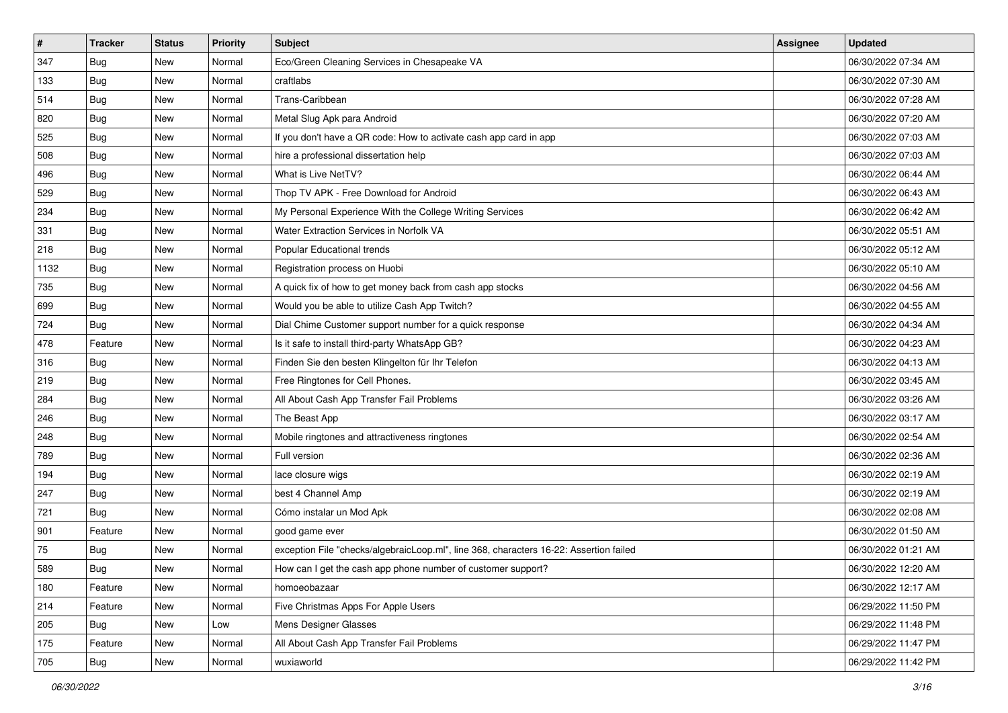| $\sharp$ | <b>Tracker</b> | <b>Status</b> | <b>Priority</b> | Subject                                                                                | <b>Assignee</b> | <b>Updated</b>      |
|----------|----------------|---------------|-----------------|----------------------------------------------------------------------------------------|-----------------|---------------------|
| 347      | <b>Bug</b>     | New           | Normal          | Eco/Green Cleaning Services in Chesapeake VA                                           |                 | 06/30/2022 07:34 AM |
| 133      | <b>Bug</b>     | New           | Normal          | craftlabs                                                                              |                 | 06/30/2022 07:30 AM |
| 514      | Bug            | New           | Normal          | Trans-Caribbean                                                                        |                 | 06/30/2022 07:28 AM |
| 820      | <b>Bug</b>     | New           | Normal          | Metal Slug Apk para Android                                                            |                 | 06/30/2022 07:20 AM |
| 525      | Bug            | New           | Normal          | If you don't have a QR code: How to activate cash app card in app                      |                 | 06/30/2022 07:03 AM |
| 508      | <b>Bug</b>     | New           | Normal          | hire a professional dissertation help                                                  |                 | 06/30/2022 07:03 AM |
| 496      | Bug            | New           | Normal          | What is Live NetTV?                                                                    |                 | 06/30/2022 06:44 AM |
| 529      | <b>Bug</b>     | New           | Normal          | Thop TV APK - Free Download for Android                                                |                 | 06/30/2022 06:43 AM |
| 234      | <b>Bug</b>     | New           | Normal          | My Personal Experience With the College Writing Services                               |                 | 06/30/2022 06:42 AM |
| 331      | Bug            | New           | Normal          | Water Extraction Services in Norfolk VA                                                |                 | 06/30/2022 05:51 AM |
| 218      | <b>Bug</b>     | New           | Normal          | Popular Educational trends                                                             |                 | 06/30/2022 05:12 AM |
| 1132     | Bug            | New           | Normal          | Registration process on Huobi                                                          |                 | 06/30/2022 05:10 AM |
| 735      | Bug            | New           | Normal          | A quick fix of how to get money back from cash app stocks                              |                 | 06/30/2022 04:56 AM |
| 699      | <b>Bug</b>     | New           | Normal          | Would you be able to utilize Cash App Twitch?                                          |                 | 06/30/2022 04:55 AM |
| 724      | <b>Bug</b>     | <b>New</b>    | Normal          | Dial Chime Customer support number for a quick response                                |                 | 06/30/2022 04:34 AM |
| 478      | Feature        | New           | Normal          | Is it safe to install third-party WhatsApp GB?                                         |                 | 06/30/2022 04:23 AM |
| 316      | <b>Bug</b>     | New           | Normal          | Finden Sie den besten Klingelton für Ihr Telefon                                       |                 | 06/30/2022 04:13 AM |
| 219      | Bug            | New           | Normal          | Free Ringtones for Cell Phones.                                                        |                 | 06/30/2022 03:45 AM |
| 284      | <b>Bug</b>     | New           | Normal          | All About Cash App Transfer Fail Problems                                              |                 | 06/30/2022 03:26 AM |
| 246      | <b>Bug</b>     | New           | Normal          | The Beast App                                                                          |                 | 06/30/2022 03:17 AM |
| 248      | <b>Bug</b>     | New           | Normal          | Mobile ringtones and attractiveness ringtones                                          |                 | 06/30/2022 02:54 AM |
| 789      | <b>Bug</b>     | New           | Normal          | Full version                                                                           |                 | 06/30/2022 02:36 AM |
| 194      | Bug            | New           | Normal          | lace closure wigs                                                                      |                 | 06/30/2022 02:19 AM |
| 247      | <b>Bug</b>     | New           | Normal          | best 4 Channel Amp                                                                     |                 | 06/30/2022 02:19 AM |
| 721      | <b>Bug</b>     | New           | Normal          | Cómo instalar un Mod Apk                                                               |                 | 06/30/2022 02:08 AM |
| 901      | Feature        | New           | Normal          | good game ever                                                                         |                 | 06/30/2022 01:50 AM |
| 75       | <b>Bug</b>     | New           | Normal          | exception File "checks/algebraicLoop.ml", line 368, characters 16-22: Assertion failed |                 | 06/30/2022 01:21 AM |
| 589      | i Bug          | New           | Normal          | How can I get the cash app phone number of customer support?                           |                 | 06/30/2022 12:20 AM |
| 180      | Feature        | New           | Normal          | homoeobazaar                                                                           |                 | 06/30/2022 12:17 AM |
| 214      | Feature        | New           | Normal          | Five Christmas Apps For Apple Users                                                    |                 | 06/29/2022 11:50 PM |
| 205      | <b>Bug</b>     | New           | Low             | Mens Designer Glasses                                                                  |                 | 06/29/2022 11:48 PM |
| 175      | Feature        | New           | Normal          | All About Cash App Transfer Fail Problems                                              |                 | 06/29/2022 11:47 PM |
| 705      | <b>Bug</b>     | New           | Normal          | wuxiaworld                                                                             |                 | 06/29/2022 11:42 PM |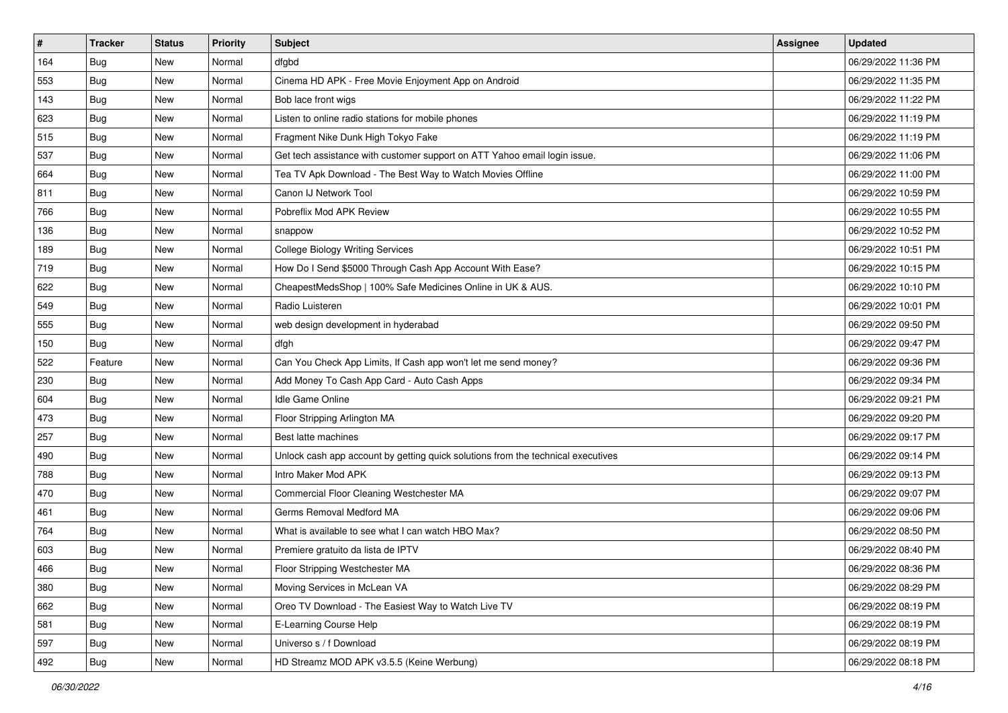| #   | <b>Tracker</b> | <b>Status</b> | <b>Priority</b> | Subject                                                                          | <b>Assignee</b> | <b>Updated</b>      |
|-----|----------------|---------------|-----------------|----------------------------------------------------------------------------------|-----------------|---------------------|
| 164 | <b>Bug</b>     | New           | Normal          | dfgbd                                                                            |                 | 06/29/2022 11:36 PM |
| 553 | <b>Bug</b>     | New           | Normal          | Cinema HD APK - Free Movie Enjoyment App on Android                              |                 | 06/29/2022 11:35 PM |
| 143 | <b>Bug</b>     | New           | Normal          | Bob lace front wigs                                                              |                 | 06/29/2022 11:22 PM |
| 623 | <b>Bug</b>     | New           | Normal          | Listen to online radio stations for mobile phones                                |                 | 06/29/2022 11:19 PM |
| 515 | <b>Bug</b>     | New           | Normal          | Fragment Nike Dunk High Tokyo Fake                                               |                 | 06/29/2022 11:19 PM |
| 537 | <b>Bug</b>     | New           | Normal          | Get tech assistance with customer support on ATT Yahoo email login issue.        |                 | 06/29/2022 11:06 PM |
| 664 | Bug            | New           | Normal          | Tea TV Apk Download - The Best Way to Watch Movies Offline                       |                 | 06/29/2022 11:00 PM |
| 811 | Bug            | New           | Normal          | Canon IJ Network Tool                                                            |                 | 06/29/2022 10:59 PM |
| 766 | <b>Bug</b>     | New           | Normal          | Pobreflix Mod APK Review                                                         |                 | 06/29/2022 10:55 PM |
| 136 | Bug            | New           | Normal          | snappow                                                                          |                 | 06/29/2022 10:52 PM |
| 189 | <b>Bug</b>     | New           | Normal          | <b>College Biology Writing Services</b>                                          |                 | 06/29/2022 10:51 PM |
| 719 | <b>Bug</b>     | New           | Normal          | How Do I Send \$5000 Through Cash App Account With Ease?                         |                 | 06/29/2022 10:15 PM |
| 622 | Bug            | New           | Normal          | CheapestMedsShop   100% Safe Medicines Online in UK & AUS.                       |                 | 06/29/2022 10:10 PM |
| 549 | <b>Bug</b>     | New           | Normal          | Radio Luisteren                                                                  |                 | 06/29/2022 10:01 PM |
| 555 | <b>Bug</b>     | New           | Normal          | web design development in hyderabad                                              |                 | 06/29/2022 09:50 PM |
| 150 | Bug            | New           | Normal          | dfgh                                                                             |                 | 06/29/2022 09:47 PM |
| 522 | Feature        | New           | Normal          | Can You Check App Limits, If Cash app won't let me send money?                   |                 | 06/29/2022 09:36 PM |
| 230 | <b>Bug</b>     | New           | Normal          | Add Money To Cash App Card - Auto Cash Apps                                      |                 | 06/29/2022 09:34 PM |
| 604 | Bug            | New           | Normal          | Idle Game Online                                                                 |                 | 06/29/2022 09:21 PM |
| 473 | <b>Bug</b>     | New           | Normal          | Floor Stripping Arlington MA                                                     |                 | 06/29/2022 09:20 PM |
| 257 | <b>Bug</b>     | New           | Normal          | Best latte machines                                                              |                 | 06/29/2022 09:17 PM |
| 490 | <b>Bug</b>     | New           | Normal          | Unlock cash app account by getting quick solutions from the technical executives |                 | 06/29/2022 09:14 PM |
| 788 | Bug            | New           | Normal          | Intro Maker Mod APK                                                              |                 | 06/29/2022 09:13 PM |
| 470 | <b>Bug</b>     | New           | Normal          | Commercial Floor Cleaning Westchester MA                                         |                 | 06/29/2022 09:07 PM |
| 461 | <b>Bug</b>     | New           | Normal          | Germs Removal Medford MA                                                         |                 | 06/29/2022 09:06 PM |
| 764 | Bug            | New           | Normal          | What is available to see what I can watch HBO Max?                               |                 | 06/29/2022 08:50 PM |
| 603 | <b>Bug</b>     | New           | Normal          | Premiere gratuito da lista de IPTV                                               |                 | 06/29/2022 08:40 PM |
| 466 | <b>Bug</b>     | New           | Normal          | Floor Stripping Westchester MA                                                   |                 | 06/29/2022 08:36 PM |
| 380 | <b>Bug</b>     | New           | Normal          | Moving Services in McLean VA                                                     |                 | 06/29/2022 08:29 PM |
| 662 | <b>Bug</b>     | New           | Normal          | Oreo TV Download - The Easiest Way to Watch Live TV                              |                 | 06/29/2022 08:19 PM |
| 581 | <b>Bug</b>     | New           | Normal          | E-Learning Course Help                                                           |                 | 06/29/2022 08:19 PM |
| 597 | Bug            | New           | Normal          | Universo s / f Download                                                          |                 | 06/29/2022 08:19 PM |
| 492 | <b>Bug</b>     | New           | Normal          | HD Streamz MOD APK v3.5.5 (Keine Werbung)                                        |                 | 06/29/2022 08:18 PM |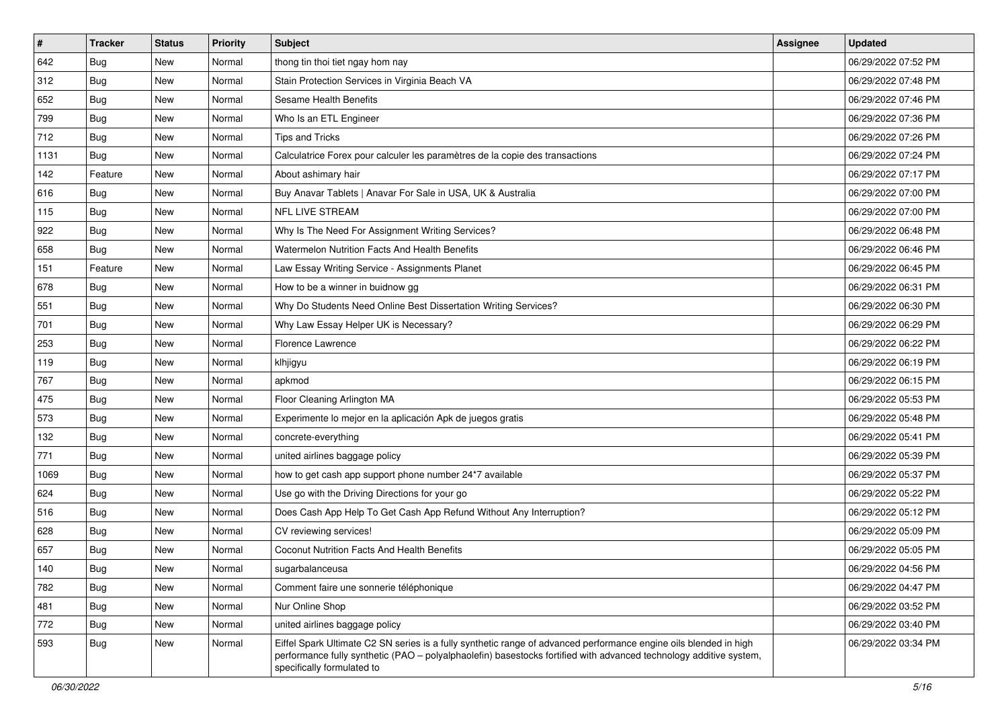| $\vert$ # | <b>Tracker</b> | <b>Status</b> | <b>Priority</b> | <b>Subject</b>                                                                                                                                                                                                                                                        | <b>Assignee</b> | <b>Updated</b>      |
|-----------|----------------|---------------|-----------------|-----------------------------------------------------------------------------------------------------------------------------------------------------------------------------------------------------------------------------------------------------------------------|-----------------|---------------------|
| 642       | <b>Bug</b>     | New           | Normal          | thong tin thoi tiet ngay hom nay                                                                                                                                                                                                                                      |                 | 06/29/2022 07:52 PM |
| 312       | <b>Bug</b>     | New           | Normal          | Stain Protection Services in Virginia Beach VA                                                                                                                                                                                                                        |                 | 06/29/2022 07:48 PM |
| 652       | <b>Bug</b>     | New           | Normal          | Sesame Health Benefits                                                                                                                                                                                                                                                |                 | 06/29/2022 07:46 PM |
| 799       | Bug            | New           | Normal          | Who Is an ETL Engineer                                                                                                                                                                                                                                                |                 | 06/29/2022 07:36 PM |
| 712       | <b>Bug</b>     | New           | Normal          | <b>Tips and Tricks</b>                                                                                                                                                                                                                                                |                 | 06/29/2022 07:26 PM |
| 1131      | <b>Bug</b>     | New           | Normal          | Calculatrice Forex pour calculer les paramètres de la copie des transactions                                                                                                                                                                                          |                 | 06/29/2022 07:24 PM |
| 142       | Feature        | New           | Normal          | About ashimary hair                                                                                                                                                                                                                                                   |                 | 06/29/2022 07:17 PM |
| 616       | <b>Bug</b>     | New           | Normal          | Buy Anavar Tablets   Anavar For Sale in USA, UK & Australia                                                                                                                                                                                                           |                 | 06/29/2022 07:00 PM |
| 115       | <b>Bug</b>     | New           | Normal          | NFL LIVE STREAM                                                                                                                                                                                                                                                       |                 | 06/29/2022 07:00 PM |
| 922       | Bug            | New           | Normal          | Why Is The Need For Assignment Writing Services?                                                                                                                                                                                                                      |                 | 06/29/2022 06:48 PM |
| 658       | <b>Bug</b>     | New           | Normal          | Watermelon Nutrition Facts And Health Benefits                                                                                                                                                                                                                        |                 | 06/29/2022 06:46 PM |
| 151       | Feature        | New           | Normal          | Law Essay Writing Service - Assignments Planet                                                                                                                                                                                                                        |                 | 06/29/2022 06:45 PM |
| 678       | Bug            | New           | Normal          | How to be a winner in buidnow gg                                                                                                                                                                                                                                      |                 | 06/29/2022 06:31 PM |
| 551       | <b>Bug</b>     | New           | Normal          | Why Do Students Need Online Best Dissertation Writing Services?                                                                                                                                                                                                       |                 | 06/29/2022 06:30 PM |
| 701       | <b>Bug</b>     | New           | Normal          | Why Law Essay Helper UK is Necessary?                                                                                                                                                                                                                                 |                 | 06/29/2022 06:29 PM |
| 253       | Bug            | New           | Normal          | <b>Florence Lawrence</b>                                                                                                                                                                                                                                              |                 | 06/29/2022 06:22 PM |
| 119       | <b>Bug</b>     | New           | Normal          | klhjigyu                                                                                                                                                                                                                                                              |                 | 06/29/2022 06:19 PM |
| 767       | <b>Bug</b>     | New           | Normal          | apkmod                                                                                                                                                                                                                                                                |                 | 06/29/2022 06:15 PM |
| 475       | <b>Bug</b>     | New           | Normal          | Floor Cleaning Arlington MA                                                                                                                                                                                                                                           |                 | 06/29/2022 05:53 PM |
| 573       | <b>Bug</b>     | New           | Normal          | Experimente lo mejor en la aplicación Apk de juegos gratis                                                                                                                                                                                                            |                 | 06/29/2022 05:48 PM |
| 132       | <b>Bug</b>     | New           | Normal          | concrete-everything                                                                                                                                                                                                                                                   |                 | 06/29/2022 05:41 PM |
| 771       | <b>Bug</b>     | New           | Normal          | united airlines baggage policy                                                                                                                                                                                                                                        |                 | 06/29/2022 05:39 PM |
| 1069      | Bug            | New           | Normal          | how to get cash app support phone number 24*7 available                                                                                                                                                                                                               |                 | 06/29/2022 05:37 PM |
| 624       | <b>Bug</b>     | New           | Normal          | Use go with the Driving Directions for your go                                                                                                                                                                                                                        |                 | 06/29/2022 05:22 PM |
| 516       | <b>Bug</b>     | New           | Normal          | Does Cash App Help To Get Cash App Refund Without Any Interruption?                                                                                                                                                                                                   |                 | 06/29/2022 05:12 PM |
| 628       | Bug            | New           | Normal          | CV reviewing services!                                                                                                                                                                                                                                                |                 | 06/29/2022 05:09 PM |
| 657       | <b>Bug</b>     | New           | Normal          | Coconut Nutrition Facts And Health Benefits                                                                                                                                                                                                                           |                 | 06/29/2022 05:05 PM |
| 140       | <b>Bug</b>     | New           | Normal          | sugarbalanceusa                                                                                                                                                                                                                                                       |                 | 06/29/2022 04:56 PM |
| 782       | <b>Bug</b>     | New           | Normal          | Comment faire une sonnerie téléphonique                                                                                                                                                                                                                               |                 | 06/29/2022 04:47 PM |
| 481       | <b>Bug</b>     | New           | Normal          | Nur Online Shop                                                                                                                                                                                                                                                       |                 | 06/29/2022 03:52 PM |
| 772       | <b>Bug</b>     | New           | Normal          | united airlines baggage policy                                                                                                                                                                                                                                        |                 | 06/29/2022 03:40 PM |
| 593       | <b>Bug</b>     | New           | Normal          | Eiffel Spark Ultimate C2 SN series is a fully synthetic range of advanced performance engine oils blended in high<br>performance fully synthetic (PAO - polyalphaolefin) basestocks fortified with advanced technology additive system,<br>specifically formulated to |                 | 06/29/2022 03:34 PM |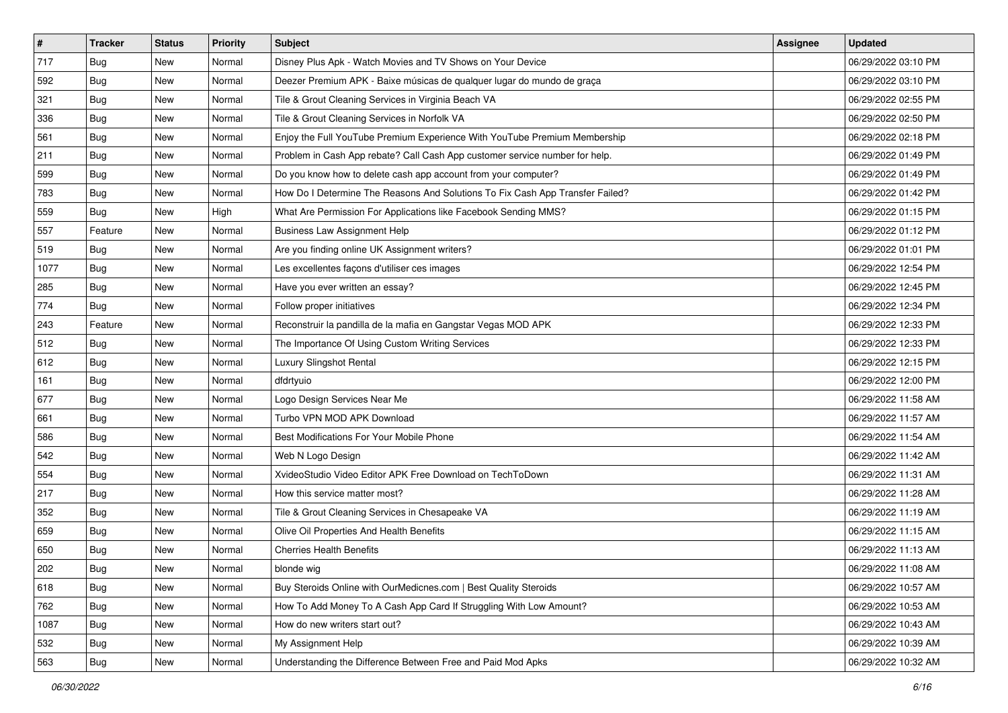| $\vert$ # | <b>Tracker</b> | <b>Status</b> | <b>Priority</b> | <b>Subject</b>                                                                | <b>Assignee</b> | <b>Updated</b>      |
|-----------|----------------|---------------|-----------------|-------------------------------------------------------------------------------|-----------------|---------------------|
| 717       | <b>Bug</b>     | New           | Normal          | Disney Plus Apk - Watch Movies and TV Shows on Your Device                    |                 | 06/29/2022 03:10 PM |
| 592       | Bug            | New           | Normal          | Deezer Premium APK - Baixe músicas de qualquer lugar do mundo de graça        |                 | 06/29/2022 03:10 PM |
| 321       | Bug            | New           | Normal          | Tile & Grout Cleaning Services in Virginia Beach VA                           |                 | 06/29/2022 02:55 PM |
| 336       | <b>Bug</b>     | New           | Normal          | Tile & Grout Cleaning Services in Norfolk VA                                  |                 | 06/29/2022 02:50 PM |
| 561       | <b>Bug</b>     | <b>New</b>    | Normal          | Enjoy the Full YouTube Premium Experience With YouTube Premium Membership     |                 | 06/29/2022 02:18 PM |
| 211       | <b>Bug</b>     | New           | Normal          | Problem in Cash App rebate? Call Cash App customer service number for help.   |                 | 06/29/2022 01:49 PM |
| 599       | Bug            | New           | Normal          | Do you know how to delete cash app account from your computer?                |                 | 06/29/2022 01:49 PM |
| 783       | <b>Bug</b>     | New           | Normal          | How Do I Determine The Reasons And Solutions To Fix Cash App Transfer Failed? |                 | 06/29/2022 01:42 PM |
| 559       | Bug            | New           | High            | What Are Permission For Applications like Facebook Sending MMS?               |                 | 06/29/2022 01:15 PM |
| 557       | Feature        | <b>New</b>    | Normal          | <b>Business Law Assignment Help</b>                                           |                 | 06/29/2022 01:12 PM |
| 519       | <b>Bug</b>     | New           | Normal          | Are you finding online UK Assignment writers?                                 |                 | 06/29/2022 01:01 PM |
| 1077      | <b>Bug</b>     | New           | Normal          | Les excellentes façons d'utiliser ces images                                  |                 | 06/29/2022 12:54 PM |
| 285       | Bug            | <b>New</b>    | Normal          | Have you ever written an essay?                                               |                 | 06/29/2022 12:45 PM |
| 774       | <b>Bug</b>     | New           | Normal          | Follow proper initiatives                                                     |                 | 06/29/2022 12:34 PM |
| 243       | Feature        | New           | Normal          | Reconstruir la pandilla de la mafia en Gangstar Vegas MOD APK                 |                 | 06/29/2022 12:33 PM |
| 512       | Bug            | New           | Normal          | The Importance Of Using Custom Writing Services                               |                 | 06/29/2022 12:33 PM |
| 612       | <b>Bug</b>     | New           | Normal          | Luxury Slingshot Rental                                                       |                 | 06/29/2022 12:15 PM |
| 161       | Bug            | New           | Normal          | dfdrtyuio                                                                     |                 | 06/29/2022 12:00 PM |
| 677       | <b>Bug</b>     | New           | Normal          | Logo Design Services Near Me                                                  |                 | 06/29/2022 11:58 AM |
| 661       | <b>Bug</b>     | New           | Normal          | Turbo VPN MOD APK Download                                                    |                 | 06/29/2022 11:57 AM |
| 586       | <b>Bug</b>     | New           | Normal          | Best Modifications For Your Mobile Phone                                      |                 | 06/29/2022 11:54 AM |
| 542       | <b>Bug</b>     | New           | Normal          | Web N Logo Design                                                             |                 | 06/29/2022 11:42 AM |
| 554       | Bug            | <b>New</b>    | Normal          | XvideoStudio Video Editor APK Free Download on TechToDown                     |                 | 06/29/2022 11:31 AM |
| 217       | <b>Bug</b>     | New           | Normal          | How this service matter most?                                                 |                 | 06/29/2022 11:28 AM |
| 352       | Bug            | New           | Normal          | Tile & Grout Cleaning Services in Chesapeake VA                               |                 | 06/29/2022 11:19 AM |
| 659       | Bug            | New           | Normal          | Olive Oil Properties And Health Benefits                                      |                 | 06/29/2022 11:15 AM |
| 650       | Bug            | New           | Normal          | <b>Cherries Health Benefits</b>                                               |                 | 06/29/2022 11:13 AM |
| 202       | <b>Bug</b>     | New           | Normal          | blonde wig                                                                    |                 | 06/29/2022 11:08 AM |
| 618       | Bug            | New           | Normal          | Buy Steroids Online with OurMedicnes.com   Best Quality Steroids              |                 | 06/29/2022 10:57 AM |
| 762       | Bug            | New           | Normal          | How To Add Money To A Cash App Card If Struggling With Low Amount?            |                 | 06/29/2022 10:53 AM |
| 1087      | <b>Bug</b>     | New           | Normal          | How do new writers start out?                                                 |                 | 06/29/2022 10:43 AM |
| 532       | <b>Bug</b>     | New           | Normal          | My Assignment Help                                                            |                 | 06/29/2022 10:39 AM |
| 563       | <b>Bug</b>     | New           | Normal          | Understanding the Difference Between Free and Paid Mod Apks                   |                 | 06/29/2022 10:32 AM |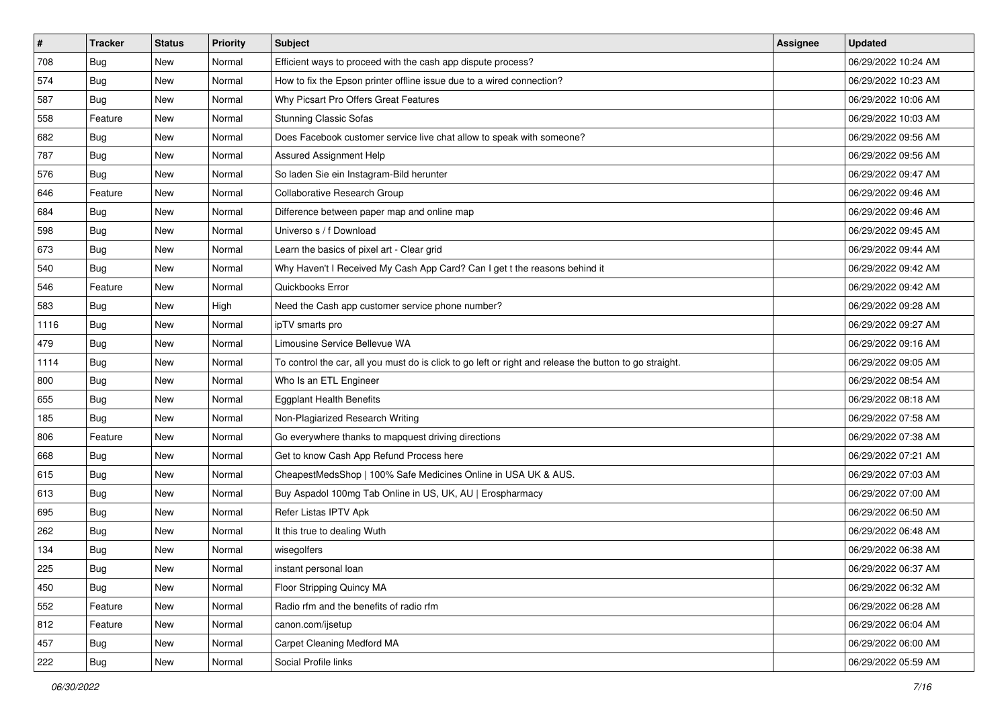| $\sharp$ | <b>Tracker</b> | <b>Status</b> | <b>Priority</b> | Subject                                                                                                 | <b>Assignee</b> | <b>Updated</b>      |
|----------|----------------|---------------|-----------------|---------------------------------------------------------------------------------------------------------|-----------------|---------------------|
| 708      | <b>Bug</b>     | New           | Normal          | Efficient ways to proceed with the cash app dispute process?                                            |                 | 06/29/2022 10:24 AM |
| 574      | <b>Bug</b>     | New           | Normal          | How to fix the Epson printer offline issue due to a wired connection?                                   |                 | 06/29/2022 10:23 AM |
| 587      | Bug            | New           | Normal          | Why Picsart Pro Offers Great Features                                                                   |                 | 06/29/2022 10:06 AM |
| 558      | Feature        | New           | Normal          | <b>Stunning Classic Sofas</b>                                                                           |                 | 06/29/2022 10:03 AM |
| 682      | Bug            | New           | Normal          | Does Facebook customer service live chat allow to speak with someone?                                   |                 | 06/29/2022 09:56 AM |
| 787      | <b>Bug</b>     | New           | Normal          | Assured Assignment Help                                                                                 |                 | 06/29/2022 09:56 AM |
| 576      | Bug            | New           | Normal          | So laden Sie ein Instagram-Bild herunter                                                                |                 | 06/29/2022 09:47 AM |
| 646      | Feature        | New           | Normal          | Collaborative Research Group                                                                            |                 | 06/29/2022 09:46 AM |
| 684      | <b>Bug</b>     | New           | Normal          | Difference between paper map and online map                                                             |                 | 06/29/2022 09:46 AM |
| 598      | Bug            | New           | Normal          | Universo s / f Download                                                                                 |                 | 06/29/2022 09:45 AM |
| 673      | <b>Bug</b>     | New           | Normal          | Learn the basics of pixel art - Clear grid                                                              |                 | 06/29/2022 09:44 AM |
| 540      | Bug            | New           | Normal          | Why Haven't I Received My Cash App Card? Can I get t the reasons behind it                              |                 | 06/29/2022 09:42 AM |
| 546      | Feature        | New           | Normal          | Quickbooks Error                                                                                        |                 | 06/29/2022 09:42 AM |
| 583      | <b>Bug</b>     | New           | High            | Need the Cash app customer service phone number?                                                        |                 | 06/29/2022 09:28 AM |
| 1116     | <b>Bug</b>     | <b>New</b>    | Normal          | ipTV smarts pro                                                                                         |                 | 06/29/2022 09:27 AM |
| 479      | <b>Bug</b>     | New           | Normal          | Limousine Service Bellevue WA                                                                           |                 | 06/29/2022 09:16 AM |
| 1114     | <b>Bug</b>     | New           | Normal          | To control the car, all you must do is click to go left or right and release the button to go straight. |                 | 06/29/2022 09:05 AM |
| 800      | Bug            | New           | Normal          | Who Is an ETL Engineer                                                                                  |                 | 06/29/2022 08:54 AM |
| 655      | <b>Bug</b>     | New           | Normal          | <b>Eggplant Health Benefits</b>                                                                         |                 | 06/29/2022 08:18 AM |
| 185      | Bug            | New           | Normal          | Non-Plagiarized Research Writing                                                                        |                 | 06/29/2022 07:58 AM |
| 806      | Feature        | New           | Normal          | Go everywhere thanks to mapquest driving directions                                                     |                 | 06/29/2022 07:38 AM |
| 668      | <b>Bug</b>     | New           | Normal          | Get to know Cash App Refund Process here                                                                |                 | 06/29/2022 07:21 AM |
| 615      | Bug            | New           | Normal          | CheapestMedsShop   100% Safe Medicines Online in USA UK & AUS.                                          |                 | 06/29/2022 07:03 AM |
| 613      | <b>Bug</b>     | New           | Normal          | Buy Aspadol 100mg Tab Online in US, UK, AU   Erospharmacy                                               |                 | 06/29/2022 07:00 AM |
| 695      | Bug            | New           | Normal          | Refer Listas IPTV Apk                                                                                   |                 | 06/29/2022 06:50 AM |
| 262      | Bug            | New           | Normal          | It this true to dealing Wuth                                                                            |                 | 06/29/2022 06:48 AM |
| 134      | <b>Bug</b>     | New           | Normal          | wisegolfers                                                                                             |                 | 06/29/2022 06:38 AM |
| 225      | <b>Bug</b>     | New           | Normal          | instant personal loan                                                                                   |                 | 06/29/2022 06:37 AM |
| 450      | Bug            | New           | Normal          | Floor Stripping Quincy MA                                                                               |                 | 06/29/2022 06:32 AM |
| 552      | Feature        | New           | Normal          | Radio rfm and the benefits of radio rfm                                                                 |                 | 06/29/2022 06:28 AM |
| 812      | Feature        | New           | Normal          | canon.com/ijsetup                                                                                       |                 | 06/29/2022 06:04 AM |
| 457      | <b>Bug</b>     | New           | Normal          | Carpet Cleaning Medford MA                                                                              |                 | 06/29/2022 06:00 AM |
| 222      | <b>Bug</b>     | New           | Normal          | Social Profile links                                                                                    |                 | 06/29/2022 05:59 AM |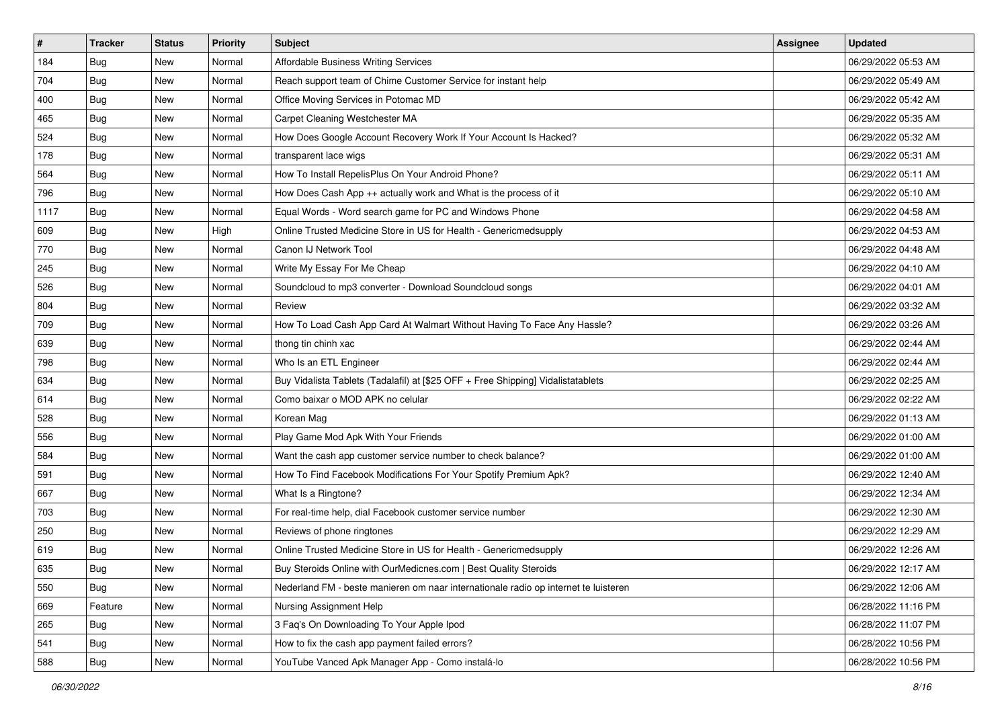| $\sharp$ | <b>Tracker</b> | <b>Status</b> | <b>Priority</b> | <b>Subject</b>                                                                      | <b>Assignee</b> | <b>Updated</b>      |
|----------|----------------|---------------|-----------------|-------------------------------------------------------------------------------------|-----------------|---------------------|
| 184      | <b>Bug</b>     | New           | Normal          | Affordable Business Writing Services                                                |                 | 06/29/2022 05:53 AM |
| 704      | <b>Bug</b>     | <b>New</b>    | Normal          | Reach support team of Chime Customer Service for instant help                       |                 | 06/29/2022 05:49 AM |
| 400      | <b>Bug</b>     | New           | Normal          | Office Moving Services in Potomac MD                                                |                 | 06/29/2022 05:42 AM |
| 465      | <b>Bug</b>     | <b>New</b>    | Normal          | Carpet Cleaning Westchester MA                                                      |                 | 06/29/2022 05:35 AM |
| 524      | <b>Bug</b>     | New           | Normal          | How Does Google Account Recovery Work If Your Account Is Hacked?                    |                 | 06/29/2022 05:32 AM |
| 178      | <b>Bug</b>     | New           | Normal          | transparent lace wigs                                                               |                 | 06/29/2022 05:31 AM |
| 564      | Bug            | New           | Normal          | How To Install RepelisPlus On Your Android Phone?                                   |                 | 06/29/2022 05:11 AM |
| 796      | <b>Bug</b>     | New           | Normal          | How Does Cash App ++ actually work and What is the process of it                    |                 | 06/29/2022 05:10 AM |
| 1117     | <b>Bug</b>     | New           | Normal          | Equal Words - Word search game for PC and Windows Phone                             |                 | 06/29/2022 04:58 AM |
| 609      | Bug            | New           | High            | Online Trusted Medicine Store in US for Health - Genericmedsupply                   |                 | 06/29/2022 04:53 AM |
| 770      | <b>Bug</b>     | New           | Normal          | Canon IJ Network Tool                                                               |                 | 06/29/2022 04:48 AM |
| 245      | Bug            | New           | Normal          | Write My Essay For Me Cheap                                                         |                 | 06/29/2022 04:10 AM |
| 526      | Bug            | New           | Normal          | Soundcloud to mp3 converter - Download Soundcloud songs                             |                 | 06/29/2022 04:01 AM |
| 804      | <b>Bug</b>     | New           | Normal          | Review                                                                              |                 | 06/29/2022 03:32 AM |
| 709      | <b>Bug</b>     | <b>New</b>    | Normal          | How To Load Cash App Card At Walmart Without Having To Face Any Hassle?             |                 | 06/29/2022 03:26 AM |
| 639      | Bug            | New           | Normal          | thong tin chinh xac                                                                 |                 | 06/29/2022 02:44 AM |
| 798      | <b>Bug</b>     | New           | Normal          | Who Is an ETL Engineer                                                              |                 | 06/29/2022 02:44 AM |
| 634      | Bug            | New           | Normal          | Buy Vidalista Tablets (Tadalafil) at [\$25 OFF + Free Shipping] Vidalistatablets    |                 | 06/29/2022 02:25 AM |
| 614      | <b>Bug</b>     | New           | Normal          | Como baixar o MOD APK no celular                                                    |                 | 06/29/2022 02:22 AM |
| 528      | Bug            | <b>New</b>    | Normal          | Korean Mag                                                                          |                 | 06/29/2022 01:13 AM |
| 556      | <b>Bug</b>     | New           | Normal          | Play Game Mod Apk With Your Friends                                                 |                 | 06/29/2022 01:00 AM |
| 584      | <b>Bug</b>     | New           | Normal          | Want the cash app customer service number to check balance?                         |                 | 06/29/2022 01:00 AM |
| 591      | Bug            | <b>New</b>    | Normal          | How To Find Facebook Modifications For Your Spotify Premium Apk?                    |                 | 06/29/2022 12:40 AM |
| 667      | <b>Bug</b>     | New           | Normal          | What Is a Ringtone?                                                                 |                 | 06/29/2022 12:34 AM |
| 703      | <b>Bug</b>     | New           | Normal          | For real-time help, dial Facebook customer service number                           |                 | 06/29/2022 12:30 AM |
| 250      | Bug            | New           | Normal          | Reviews of phone ringtones                                                          |                 | 06/29/2022 12:29 AM |
| 619      | <b>Bug</b>     | New           | Normal          | Online Trusted Medicine Store in US for Health - Genericmedsupply                   |                 | 06/29/2022 12:26 AM |
| 635      | Bug            | New           | Normal          | Buy Steroids Online with OurMedicnes.com   Best Quality Steroids                    |                 | 06/29/2022 12:17 AM |
| 550      | Bug            | New           | Normal          | Nederland FM - beste manieren om naar internationale radio op internet te luisteren |                 | 06/29/2022 12:06 AM |
| 669      | Feature        | New           | Normal          | Nursing Assignment Help                                                             |                 | 06/28/2022 11:16 PM |
| 265      | Bug            | New           | Normal          | 3 Faq's On Downloading To Your Apple Ipod                                           |                 | 06/28/2022 11:07 PM |
| 541      | <b>Bug</b>     | New           | Normal          | How to fix the cash app payment failed errors?                                      |                 | 06/28/2022 10:56 PM |
| 588      | <b>Bug</b>     | New           | Normal          | YouTube Vanced Apk Manager App - Como instalá-lo                                    |                 | 06/28/2022 10:56 PM |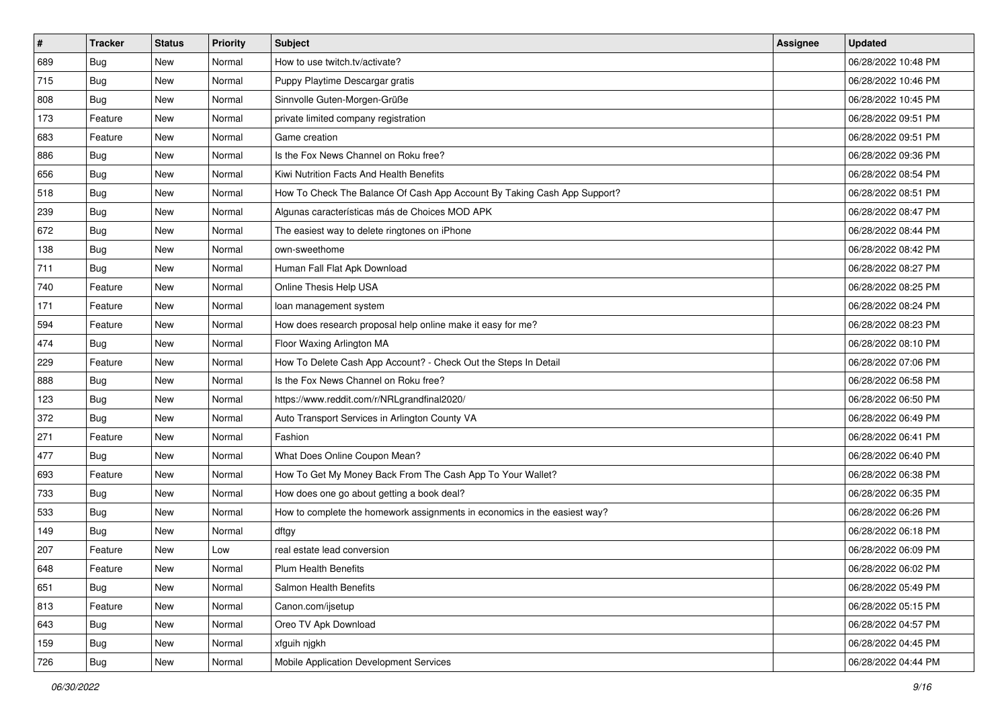| $\sharp$ | <b>Tracker</b> | <b>Status</b> | <b>Priority</b> | <b>Subject</b>                                                            | <b>Assignee</b> | <b>Updated</b>      |
|----------|----------------|---------------|-----------------|---------------------------------------------------------------------------|-----------------|---------------------|
| 689      | <b>Bug</b>     | New           | Normal          | How to use twitch.tv/activate?                                            |                 | 06/28/2022 10:48 PM |
| 715      | Bug            | <b>New</b>    | Normal          | Puppy Playtime Descargar gratis                                           |                 | 06/28/2022 10:46 PM |
| 808      | <b>Bug</b>     | New           | Normal          | Sinnvolle Guten-Morgen-Grüße                                              |                 | 06/28/2022 10:45 PM |
| 173      | Feature        | New           | Normal          | private limited company registration                                      |                 | 06/28/2022 09:51 PM |
| 683      | Feature        | New           | Normal          | Game creation                                                             |                 | 06/28/2022 09:51 PM |
| 886      | <b>Bug</b>     | New           | Normal          | Is the Fox News Channel on Roku free?                                     |                 | 06/28/2022 09:36 PM |
| 656      | Bug            | <b>New</b>    | Normal          | Kiwi Nutrition Facts And Health Benefits                                  |                 | 06/28/2022 08:54 PM |
| 518      | <b>Bug</b>     | New           | Normal          | How To Check The Balance Of Cash App Account By Taking Cash App Support?  |                 | 06/28/2022 08:51 PM |
| 239      | <b>Bug</b>     | New           | Normal          | Algunas características más de Choices MOD APK                            |                 | 06/28/2022 08:47 PM |
| 672      | Bug            | New           | Normal          | The easiest way to delete ringtones on iPhone                             |                 | 06/28/2022 08:44 PM |
| 138      | <b>Bug</b>     | New           | Normal          | own-sweethome                                                             |                 | 06/28/2022 08:42 PM |
| 711      | <b>Bug</b>     | New           | Normal          | Human Fall Flat Apk Download                                              |                 | 06/28/2022 08:27 PM |
| 740      | Feature        | New           | Normal          | Online Thesis Help USA                                                    |                 | 06/28/2022 08:25 PM |
| 171      | Feature        | New           | Normal          | loan management system                                                    |                 | 06/28/2022 08:24 PM |
| 594      | Feature        | New           | Normal          | How does research proposal help online make it easy for me?               |                 | 06/28/2022 08:23 PM |
| 474      | <b>Bug</b>     | New           | Normal          | Floor Waxing Arlington MA                                                 |                 | 06/28/2022 08:10 PM |
| 229      | Feature        | New           | Normal          | How To Delete Cash App Account? - Check Out the Steps In Detail           |                 | 06/28/2022 07:06 PM |
| 888      | <b>Bug</b>     | New           | Normal          | Is the Fox News Channel on Roku free?                                     |                 | 06/28/2022 06:58 PM |
| 123      | <b>Bug</b>     | New           | Normal          | https://www.reddit.com/r/NRLgrandfinal2020/                               |                 | 06/28/2022 06:50 PM |
| 372      | <b>Bug</b>     | <b>New</b>    | Normal          | Auto Transport Services in Arlington County VA                            |                 | 06/28/2022 06:49 PM |
| 271      | Feature        | New           | Normal          | Fashion                                                                   |                 | 06/28/2022 06:41 PM |
| 477      | <b>Bug</b>     | New           | Normal          | What Does Online Coupon Mean?                                             |                 | 06/28/2022 06:40 PM |
| 693      | Feature        | New           | Normal          | How To Get My Money Back From The Cash App To Your Wallet?                |                 | 06/28/2022 06:38 PM |
| 733      | <b>Bug</b>     | New           | Normal          | How does one go about getting a book deal?                                |                 | 06/28/2022 06:35 PM |
| 533      | <b>Bug</b>     | New           | Normal          | How to complete the homework assignments in economics in the easiest way? |                 | 06/28/2022 06:26 PM |
| 149      | Bug            | New           | Normal          | dftgy                                                                     |                 | 06/28/2022 06:18 PM |
| 207      | Feature        | New           | Low             | real estate lead conversion                                               |                 | 06/28/2022 06:09 PM |
| 648      | Feature        | New           | Normal          | Plum Health Benefits                                                      |                 | 06/28/2022 06:02 PM |
| 651      | Bug            | New           | Normal          | Salmon Health Benefits                                                    |                 | 06/28/2022 05:49 PM |
| 813      | Feature        | New           | Normal          | Canon.com/ijsetup                                                         |                 | 06/28/2022 05:15 PM |
| 643      | <b>Bug</b>     | New           | Normal          | Oreo TV Apk Download                                                      |                 | 06/28/2022 04:57 PM |
| 159      | Bug            | New           | Normal          | xfguih njgkh                                                              |                 | 06/28/2022 04:45 PM |
| 726      | Bug            | New           | Normal          | Mobile Application Development Services                                   |                 | 06/28/2022 04:44 PM |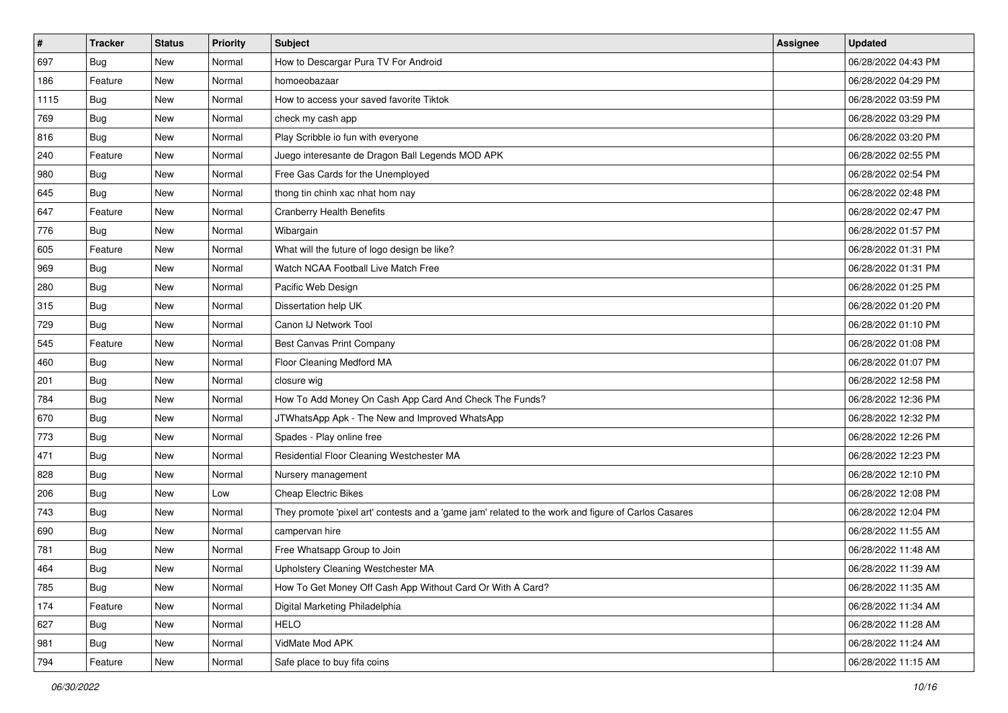| $\sharp$ | <b>Tracker</b> | <b>Status</b> | <b>Priority</b> | Subject                                                                                             | <b>Assignee</b> | <b>Updated</b>      |
|----------|----------------|---------------|-----------------|-----------------------------------------------------------------------------------------------------|-----------------|---------------------|
| 697      | <b>Bug</b>     | New           | Normal          | How to Descargar Pura TV For Android                                                                |                 | 06/28/2022 04:43 PM |
| 186      | Feature        | New           | Normal          | homoeobazaar                                                                                        |                 | 06/28/2022 04:29 PM |
| 1115     | Bug            | New           | Normal          | How to access your saved favorite Tiktok                                                            |                 | 06/28/2022 03:59 PM |
| 769      | <b>Bug</b>     | New           | Normal          | check my cash app                                                                                   |                 | 06/28/2022 03:29 PM |
| 816      | Bug            | New           | Normal          | Play Scribble io fun with everyone                                                                  |                 | 06/28/2022 03:20 PM |
| 240      | Feature        | New           | Normal          | Juego interesante de Dragon Ball Legends MOD APK                                                    |                 | 06/28/2022 02:55 PM |
| 980      | Bug            | New           | Normal          | Free Gas Cards for the Unemployed                                                                   |                 | 06/28/2022 02:54 PM |
| 645      | <b>Bug</b>     | New           | Normal          | thong tin chinh xac nhat hom nay                                                                    |                 | 06/28/2022 02:48 PM |
| 647      | Feature        | New           | Normal          | <b>Cranberry Health Benefits</b>                                                                    |                 | 06/28/2022 02:47 PM |
| 776      | Bug            | New           | Normal          | Wibargain                                                                                           |                 | 06/28/2022 01:57 PM |
| 605      | Feature        | New           | Normal          | What will the future of logo design be like?                                                        |                 | 06/28/2022 01:31 PM |
| 969      | Bug            | New           | Normal          | Watch NCAA Football Live Match Free                                                                 |                 | 06/28/2022 01:31 PM |
| 280      | <b>Bug</b>     | New           | Normal          | Pacific Web Design                                                                                  |                 | 06/28/2022 01:25 PM |
| 315      | <b>Bug</b>     | New           | Normal          | Dissertation help UK                                                                                |                 | 06/28/2022 01:20 PM |
| 729      | Bug            | <b>New</b>    | Normal          | Canon IJ Network Tool                                                                               |                 | 06/28/2022 01:10 PM |
| 545      | Feature        | New           | Normal          | Best Canvas Print Company                                                                           |                 | 06/28/2022 01:08 PM |
| 460      | <b>Bug</b>     | New           | Normal          | Floor Cleaning Medford MA                                                                           |                 | 06/28/2022 01:07 PM |
| 201      | Bug            | New           | Normal          | closure wig                                                                                         |                 | 06/28/2022 12:58 PM |
| 784      | <b>Bug</b>     | New           | Normal          | How To Add Money On Cash App Card And Check The Funds?                                              |                 | 06/28/2022 12:36 PM |
| 670      | Bug            | New           | Normal          | JTWhatsApp Apk - The New and Improved WhatsApp                                                      |                 | 06/28/2022 12:32 PM |
| 773      | <b>Bug</b>     | New           | Normal          | Spades - Play online free                                                                           |                 | 06/28/2022 12:26 PM |
| 471      | Bug            | New           | Normal          | Residential Floor Cleaning Westchester MA                                                           |                 | 06/28/2022 12:23 PM |
| 828      | Bug            | New           | Normal          | Nursery management                                                                                  |                 | 06/28/2022 12:10 PM |
| 206      | <b>Bug</b>     | New           | Low             | <b>Cheap Electric Bikes</b>                                                                         |                 | 06/28/2022 12:08 PM |
| 743      | Bug            | New           | Normal          | They promote 'pixel art' contests and a 'game jam' related to the work and figure of Carlos Casares |                 | 06/28/2022 12:04 PM |
| 690      | Bug            | New           | Normal          | campervan hire                                                                                      |                 | 06/28/2022 11:55 AM |
| 781      | <b>Bug</b>     | New           | Normal          | Free Whatsapp Group to Join                                                                         |                 | 06/28/2022 11:48 AM |
| 464      | I Bug          | New           | Normal          | Upholstery Cleaning Westchester MA                                                                  |                 | 06/28/2022 11:39 AM |
| 785      | Bug            | New           | Normal          | How To Get Money Off Cash App Without Card Or With A Card?                                          |                 | 06/28/2022 11:35 AM |
| 174      | Feature        | New           | Normal          | Digital Marketing Philadelphia                                                                      |                 | 06/28/2022 11:34 AM |
| 627      | <b>Bug</b>     | New           | Normal          | <b>HELO</b>                                                                                         |                 | 06/28/2022 11:28 AM |
| 981      | <b>Bug</b>     | New           | Normal          | VidMate Mod APK                                                                                     |                 | 06/28/2022 11:24 AM |
| 794      | Feature        | New           | Normal          | Safe place to buy fifa coins                                                                        |                 | 06/28/2022 11:15 AM |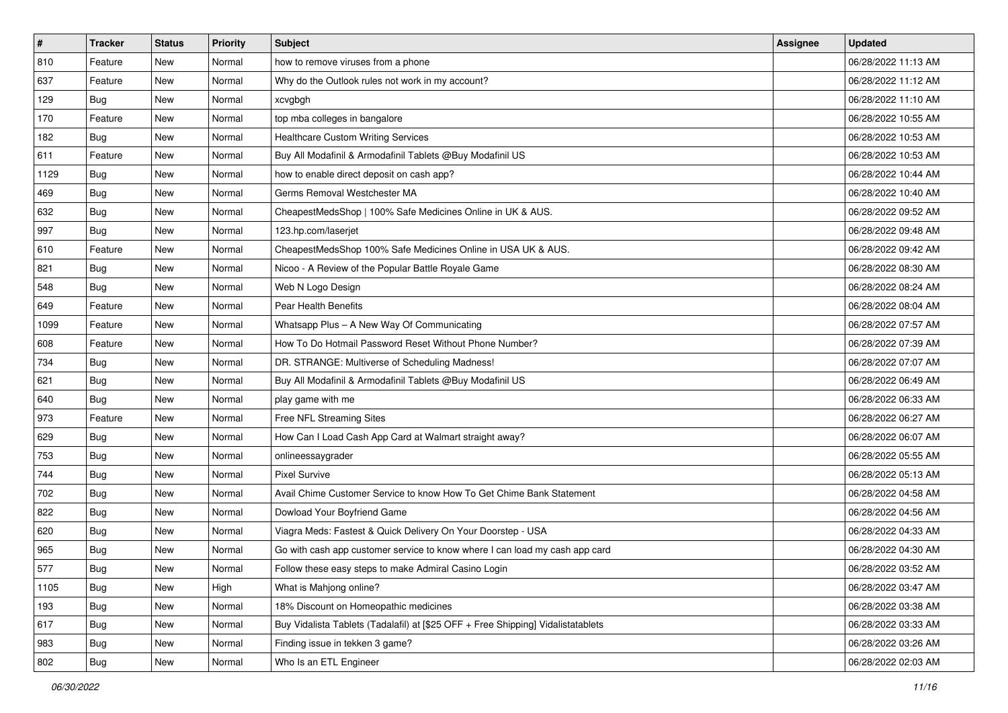| $\pmb{\#}$ | <b>Tracker</b> | <b>Status</b> | <b>Priority</b> | <b>Subject</b>                                                                   | <b>Assignee</b> | <b>Updated</b>      |
|------------|----------------|---------------|-----------------|----------------------------------------------------------------------------------|-----------------|---------------------|
| 810        | Feature        | New           | Normal          | how to remove viruses from a phone                                               |                 | 06/28/2022 11:13 AM |
| 637        | Feature        | New           | Normal          | Why do the Outlook rules not work in my account?                                 |                 | 06/28/2022 11:12 AM |
| 129        | <b>Bug</b>     | New           | Normal          | xcvgbgh                                                                          |                 | 06/28/2022 11:10 AM |
| 170        | Feature        | <b>New</b>    | Normal          | top mba colleges in bangalore                                                    |                 | 06/28/2022 10:55 AM |
| 182        | Bug            | <b>New</b>    | Normal          | <b>Healthcare Custom Writing Services</b>                                        |                 | 06/28/2022 10:53 AM |
| 611        | Feature        | New           | Normal          | Buy All Modafinil & Armodafinil Tablets @Buy Modafinil US                        |                 | 06/28/2022 10:53 AM |
| 1129       | Bug            | New           | Normal          | how to enable direct deposit on cash app?                                        |                 | 06/28/2022 10:44 AM |
| 469        | Bug            | New           | Normal          | Germs Removal Westchester MA                                                     |                 | 06/28/2022 10:40 AM |
| 632        | <b>Bug</b>     | New           | Normal          | CheapestMedsShop   100% Safe Medicines Online in UK & AUS.                       |                 | 06/28/2022 09:52 AM |
| 997        | <b>Bug</b>     | New           | Normal          | 123.hp.com/laserjet                                                              |                 | 06/28/2022 09:48 AM |
| 610        | Feature        | New           | Normal          | CheapestMedsShop 100% Safe Medicines Online in USA UK & AUS.                     |                 | 06/28/2022 09:42 AM |
| 821        | Bug            | New           | Normal          | Nicoo - A Review of the Popular Battle Royale Game                               |                 | 06/28/2022 08:30 AM |
| 548        | Bug            | New           | Normal          | Web N Logo Design                                                                |                 | 06/28/2022 08:24 AM |
| 649        | Feature        | New           | Normal          | <b>Pear Health Benefits</b>                                                      |                 | 06/28/2022 08:04 AM |
| 1099       | Feature        | New           | Normal          | Whatsapp Plus - A New Way Of Communicating                                       |                 | 06/28/2022 07:57 AM |
| 608        | Feature        | New           | Normal          | How To Do Hotmail Password Reset Without Phone Number?                           |                 | 06/28/2022 07:39 AM |
| 734        | Bug            | New           | Normal          | DR. STRANGE: Multiverse of Scheduling Madness!                                   |                 | 06/28/2022 07:07 AM |
| 621        | Bug            | New           | Normal          | Buy All Modafinil & Armodafinil Tablets @Buy Modafinil US                        |                 | 06/28/2022 06:49 AM |
| 640        | <b>Bug</b>     | New           | Normal          | play game with me                                                                |                 | 06/28/2022 06:33 AM |
| 973        | Feature        | New           | Normal          | Free NFL Streaming Sites                                                         |                 | 06/28/2022 06:27 AM |
| 629        | Bug            | New           | Normal          | How Can I Load Cash App Card at Walmart straight away?                           |                 | 06/28/2022 06:07 AM |
| 753        | <b>Bug</b>     | New           | Normal          | onlineessaygrader                                                                |                 | 06/28/2022 05:55 AM |
| 744        | Bug            | New           | Normal          | <b>Pixel Survive</b>                                                             |                 | 06/28/2022 05:13 AM |
| 702        | <b>Bug</b>     | New           | Normal          | Avail Chime Customer Service to know How To Get Chime Bank Statement             |                 | 06/28/2022 04:58 AM |
| 822        | <b>Bug</b>     | New           | Normal          | Dowload Your Boyfriend Game                                                      |                 | 06/28/2022 04:56 AM |
| 620        | <b>Bug</b>     | New           | Normal          | Viagra Meds: Fastest & Quick Delivery On Your Doorstep - USA                     |                 | 06/28/2022 04:33 AM |
| 965        | <b>Bug</b>     | New           | Normal          | Go with cash app customer service to know where I can load my cash app card      |                 | 06/28/2022 04:30 AM |
| 577        | <b>Bug</b>     | New           | Normal          | Follow these easy steps to make Admiral Casino Login                             |                 | 06/28/2022 03:52 AM |
| 1105       | <b>Bug</b>     | New           | High            | What is Mahjong online?                                                          |                 | 06/28/2022 03:47 AM |
| 193        | <b>Bug</b>     | New           | Normal          | 18% Discount on Homeopathic medicines                                            |                 | 06/28/2022 03:38 AM |
| 617        | Bug            | New           | Normal          | Buy Vidalista Tablets (Tadalafil) at [\$25 OFF + Free Shipping] Vidalistatablets |                 | 06/28/2022 03:33 AM |
| 983        | <b>Bug</b>     | New           | Normal          | Finding issue in tekken 3 game?                                                  |                 | 06/28/2022 03:26 AM |
| 802        | <b>Bug</b>     | New           | Normal          | Who Is an ETL Engineer                                                           |                 | 06/28/2022 02:03 AM |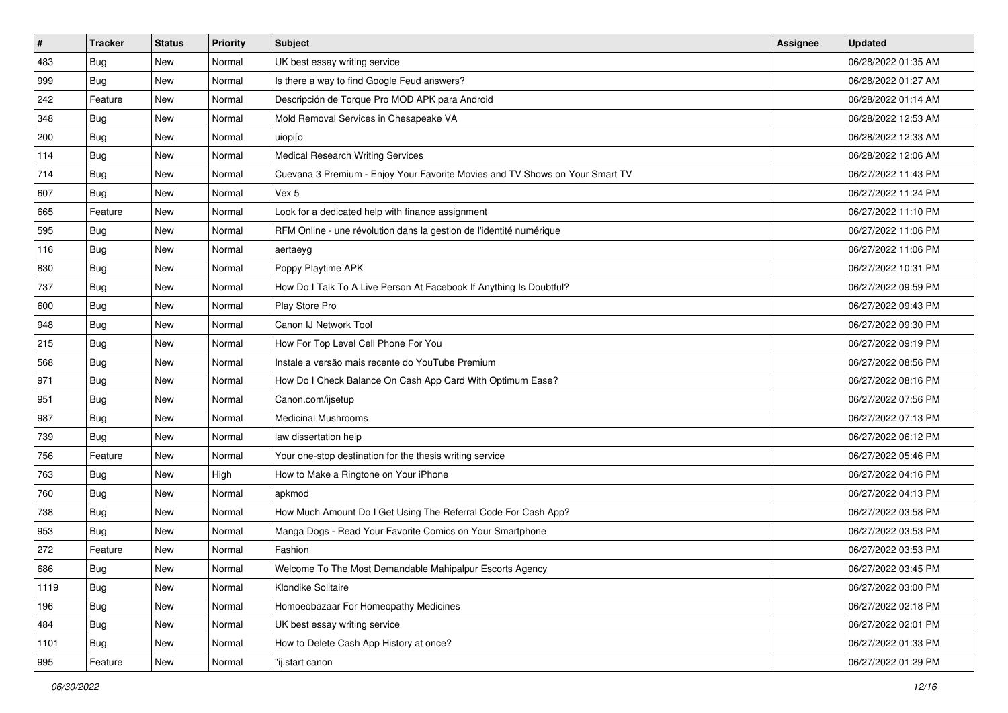| $\sharp$ | <b>Tracker</b> | <b>Status</b> | <b>Priority</b> | Subject                                                                      | <b>Assignee</b> | <b>Updated</b>      |
|----------|----------------|---------------|-----------------|------------------------------------------------------------------------------|-----------------|---------------------|
| 483      | <b>Bug</b>     | New           | Normal          | UK best essay writing service                                                |                 | 06/28/2022 01:35 AM |
| 999      | <b>Bug</b>     | <b>New</b>    | Normal          | Is there a way to find Google Feud answers?                                  |                 | 06/28/2022 01:27 AM |
| 242      | Feature        | New           | Normal          | Descripción de Torque Pro MOD APK para Android                               |                 | 06/28/2022 01:14 AM |
| 348      | <b>Bug</b>     | New           | Normal          | Mold Removal Services in Chesapeake VA                                       |                 | 06/28/2022 12:53 AM |
| 200      | Bug            | New           | Normal          | uiopi[o                                                                      |                 | 06/28/2022 12:33 AM |
| 114      | <b>Bug</b>     | New           | Normal          | Medical Research Writing Services                                            |                 | 06/28/2022 12:06 AM |
| 714      | Bug            | New           | Normal          | Cuevana 3 Premium - Enjoy Your Favorite Movies and TV Shows on Your Smart TV |                 | 06/27/2022 11:43 PM |
| 607      | Bug            | New           | Normal          | Vex 5                                                                        |                 | 06/27/2022 11:24 PM |
| 665      | Feature        | New           | Normal          | Look for a dedicated help with finance assignment                            |                 | 06/27/2022 11:10 PM |
| 595      | Bug            | <b>New</b>    | Normal          | RFM Online - une révolution dans la gestion de l'identité numérique          |                 | 06/27/2022 11:06 PM |
| 116      | <b>Bug</b>     | New           | Normal          | aertaeyg                                                                     |                 | 06/27/2022 11:06 PM |
| 830      | Bug            | New           | Normal          | Poppy Playtime APK                                                           |                 | 06/27/2022 10:31 PM |
| 737      | Bug            | New           | Normal          | How Do I Talk To A Live Person At Facebook If Anything Is Doubtful?          |                 | 06/27/2022 09:59 PM |
| 600      | <b>Bug</b>     | New           | Normal          | Play Store Pro                                                               |                 | 06/27/2022 09:43 PM |
| 948      | <b>Bug</b>     | <b>New</b>    | Normal          | Canon IJ Network Tool                                                        |                 | 06/27/2022 09:30 PM |
| 215      | Bug            | New           | Normal          | How For Top Level Cell Phone For You                                         |                 | 06/27/2022 09:19 PM |
| 568      | <b>Bug</b>     | New           | Normal          | Instale a versão mais recente do YouTube Premium                             |                 | 06/27/2022 08:56 PM |
| 971      | Bug            | New           | Normal          | How Do I Check Balance On Cash App Card With Optimum Ease?                   |                 | 06/27/2022 08:16 PM |
| 951      | <b>Bug</b>     | New           | Normal          | Canon.com/ijsetup                                                            |                 | 06/27/2022 07:56 PM |
| 987      | Bug            | <b>New</b>    | Normal          | <b>Medicinal Mushrooms</b>                                                   |                 | 06/27/2022 07:13 PM |
| 739      | <b>Bug</b>     | New           | Normal          | law dissertation help                                                        |                 | 06/27/2022 06:12 PM |
| 756      | Feature        | New           | Normal          | Your one-stop destination for the thesis writing service                     |                 | 06/27/2022 05:46 PM |
| 763      | Bug            | New           | High            | How to Make a Ringtone on Your iPhone                                        |                 | 06/27/2022 04:16 PM |
| 760      | <b>Bug</b>     | New           | Normal          | apkmod                                                                       |                 | 06/27/2022 04:13 PM |
| 738      | Bug            | New           | Normal          | How Much Amount Do I Get Using The Referral Code For Cash App?               |                 | 06/27/2022 03:58 PM |
| 953      | <b>Bug</b>     | New           | Normal          | Manga Dogs - Read Your Favorite Comics on Your Smartphone                    |                 | 06/27/2022 03:53 PM |
| 272      | Feature        | New           | Normal          | Fashion                                                                      |                 | 06/27/2022 03:53 PM |
| 686      | Bug            | New           | Normal          | Welcome To The Most Demandable Mahipalpur Escorts Agency                     |                 | 06/27/2022 03:45 PM |
| 1119     | <b>Bug</b>     | New           | Normal          | Klondike Solitaire                                                           |                 | 06/27/2022 03:00 PM |
| 196      | <b>Bug</b>     | New           | Normal          | Homoeobazaar For Homeopathy Medicines                                        |                 | 06/27/2022 02:18 PM |
| 484      | Bug            | New           | Normal          | UK best essay writing service                                                |                 | 06/27/2022 02:01 PM |
| 1101     | <b>Bug</b>     | New           | Normal          | How to Delete Cash App History at once?                                      |                 | 06/27/2022 01:33 PM |
| 995      | Feature        | New           | Normal          | "ij.start canon                                                              |                 | 06/27/2022 01:29 PM |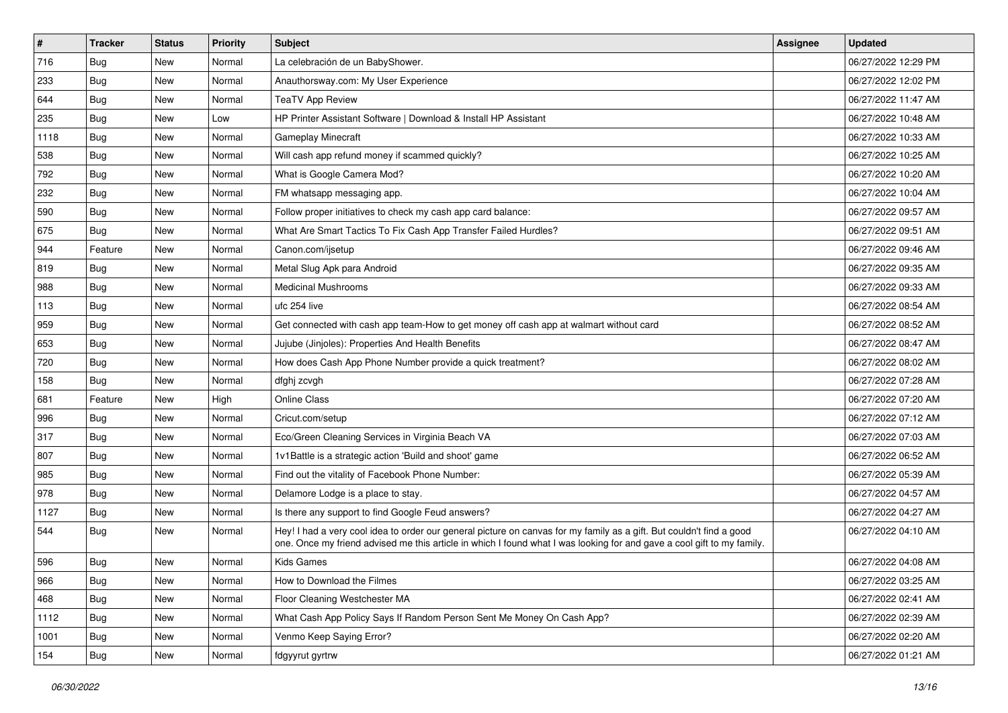| $\sharp$ | <b>Tracker</b> | <b>Status</b> | <b>Priority</b> | Subject                                                                                                                                                                                                                                        | <b>Assignee</b> | <b>Updated</b>      |
|----------|----------------|---------------|-----------------|------------------------------------------------------------------------------------------------------------------------------------------------------------------------------------------------------------------------------------------------|-----------------|---------------------|
| 716      | Bug            | New           | Normal          | La celebración de un BabyShower.                                                                                                                                                                                                               |                 | 06/27/2022 12:29 PM |
| 233      | Bug            | <b>New</b>    | Normal          | Anauthorsway.com: My User Experience                                                                                                                                                                                                           |                 | 06/27/2022 12:02 PM |
| 644      | Bug            | New           | Normal          | <b>TeaTV App Review</b>                                                                                                                                                                                                                        |                 | 06/27/2022 11:47 AM |
| 235      | Bug            | New           | Low             | HP Printer Assistant Software   Download & Install HP Assistant                                                                                                                                                                                |                 | 06/27/2022 10:48 AM |
| 1118     | Bug            | <b>New</b>    | Normal          | <b>Gameplay Minecraft</b>                                                                                                                                                                                                                      |                 | 06/27/2022 10:33 AM |
| 538      | <b>Bug</b>     | New           | Normal          | Will cash app refund money if scammed quickly?                                                                                                                                                                                                 |                 | 06/27/2022 10:25 AM |
| 792      | Bug            | <b>New</b>    | Normal          | What is Google Camera Mod?                                                                                                                                                                                                                     |                 | 06/27/2022 10:20 AM |
| 232      | <b>Bug</b>     | New           | Normal          | FM whatsapp messaging app.                                                                                                                                                                                                                     |                 | 06/27/2022 10:04 AM |
| 590      | <b>Bug</b>     | <b>New</b>    | Normal          | Follow proper initiatives to check my cash app card balance:                                                                                                                                                                                   |                 | 06/27/2022 09:57 AM |
| 675      | Bug            | <b>New</b>    | Normal          | What Are Smart Tactics To Fix Cash App Transfer Failed Hurdles?                                                                                                                                                                                |                 | 06/27/2022 09:51 AM |
| 944      | Feature        | New           | Normal          | Canon.com/ijsetup                                                                                                                                                                                                                              |                 | 06/27/2022 09:46 AM |
| 819      | Bug            | New           | Normal          | Metal Slug Apk para Android                                                                                                                                                                                                                    |                 | 06/27/2022 09:35 AM |
| 988      | Bug            | New           | Normal          | <b>Medicinal Mushrooms</b>                                                                                                                                                                                                                     |                 | 06/27/2022 09:33 AM |
| 113      | <b>Bug</b>     | New           | Normal          | ufc 254 live                                                                                                                                                                                                                                   |                 | 06/27/2022 08:54 AM |
| 959      | Bug            | <b>New</b>    | Normal          | Get connected with cash app team-How to get money off cash app at walmart without card                                                                                                                                                         |                 | 06/27/2022 08:52 AM |
| 653      | <b>Bug</b>     | New           | Normal          | Jujube (Jinjoles): Properties And Health Benefits                                                                                                                                                                                              |                 | 06/27/2022 08:47 AM |
| 720      | Bug            | <b>New</b>    | Normal          | How does Cash App Phone Number provide a quick treatment?                                                                                                                                                                                      |                 | 06/27/2022 08:02 AM |
| 158      | <b>Bug</b>     | <b>New</b>    | Normal          | dfghj zcvgh                                                                                                                                                                                                                                    |                 | 06/27/2022 07:28 AM |
| 681      | Feature        | New           | High            | <b>Online Class</b>                                                                                                                                                                                                                            |                 | 06/27/2022 07:20 AM |
| 996      | <b>Bug</b>     | <b>New</b>    | Normal          | Cricut.com/setup                                                                                                                                                                                                                               |                 | 06/27/2022 07:12 AM |
| 317      | <b>Bug</b>     | New           | Normal          | Eco/Green Cleaning Services in Virginia Beach VA                                                                                                                                                                                               |                 | 06/27/2022 07:03 AM |
| 807      | <b>Bug</b>     | New           | Normal          | 1v1Battle is a strategic action 'Build and shoot' game                                                                                                                                                                                         |                 | 06/27/2022 06:52 AM |
| 985      | Bug            | New           | Normal          | Find out the vitality of Facebook Phone Number:                                                                                                                                                                                                |                 | 06/27/2022 05:39 AM |
| 978      | <b>Bug</b>     | New           | Normal          | Delamore Lodge is a place to stay.                                                                                                                                                                                                             |                 | 06/27/2022 04:57 AM |
| 1127     | <b>Bug</b>     | <b>New</b>    | Normal          | Is there any support to find Google Feud answers?                                                                                                                                                                                              |                 | 06/27/2022 04:27 AM |
| 544      | Bug            | New           | Normal          | Hey! I had a very cool idea to order our general picture on canvas for my family as a gift. But couldn't find a good<br>one. Once my friend advised me this article in which I found what I was looking for and gave a cool gift to my family. |                 | 06/27/2022 04:10 AM |
| 596      | <b>Bug</b>     | New           | Normal          | <b>Kids Games</b>                                                                                                                                                                                                                              |                 | 06/27/2022 04:08 AM |
| 966      | Bug            | New           | Normal          | How to Download the Filmes                                                                                                                                                                                                                     |                 | 06/27/2022 03:25 AM |
| 468      | Bug            | New           | Normal          | Floor Cleaning Westchester MA                                                                                                                                                                                                                  |                 | 06/27/2022 02:41 AM |
| 1112     | Bug            | New           | Normal          | What Cash App Policy Says If Random Person Sent Me Money On Cash App?                                                                                                                                                                          |                 | 06/27/2022 02:39 AM |
| 1001     | <b>Bug</b>     | New           | Normal          | Venmo Keep Saying Error?                                                                                                                                                                                                                       |                 | 06/27/2022 02:20 AM |
| 154      | <b>Bug</b>     | New           | Normal          | fdgyyrut gyrtrw                                                                                                                                                                                                                                |                 | 06/27/2022 01:21 AM |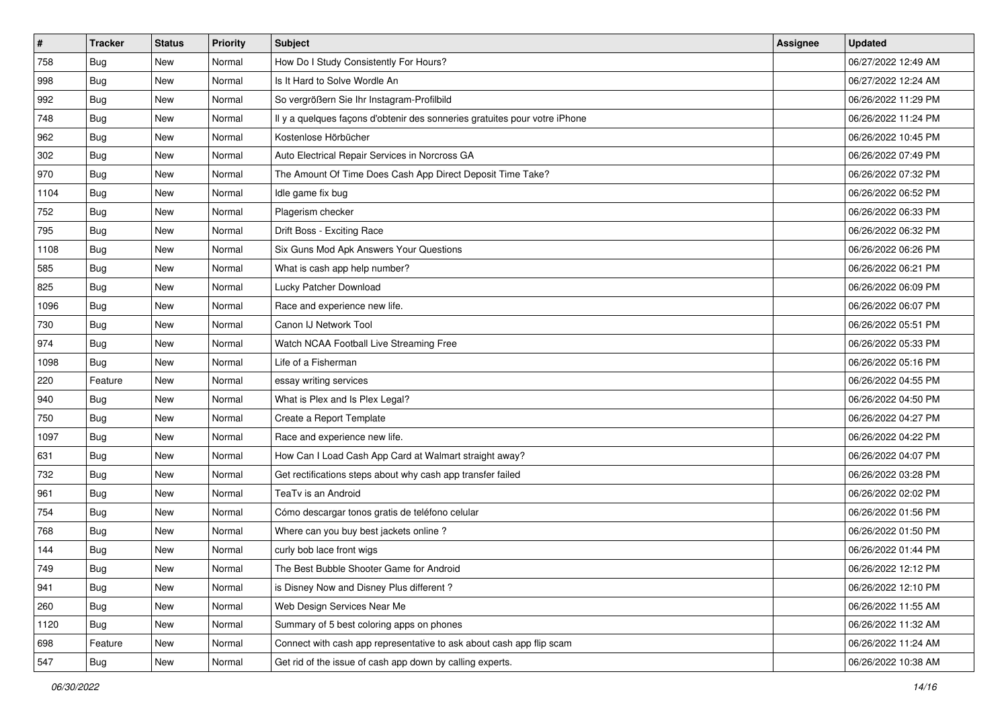| $\sharp$ | <b>Tracker</b> | <b>Status</b> | <b>Priority</b> | Subject                                                                    | <b>Assignee</b> | <b>Updated</b>      |
|----------|----------------|---------------|-----------------|----------------------------------------------------------------------------|-----------------|---------------------|
| 758      | <b>Bug</b>     | New           | Normal          | How Do I Study Consistently For Hours?                                     |                 | 06/27/2022 12:49 AM |
| 998      | <b>Bug</b>     | New           | Normal          | Is It Hard to Solve Wordle An                                              |                 | 06/27/2022 12:24 AM |
| 992      | Bug            | New           | Normal          | So vergrößern Sie Ihr Instagram-Profilbild                                 |                 | 06/26/2022 11:29 PM |
| 748      | <b>Bug</b>     | New           | Normal          | Il y a quelques façons d'obtenir des sonneries gratuites pour votre iPhone |                 | 06/26/2022 11:24 PM |
| 962      | Bug            | New           | Normal          | Kostenlose Hörbücher                                                       |                 | 06/26/2022 10:45 PM |
| 302      | <b>Bug</b>     | New           | Normal          | Auto Electrical Repair Services in Norcross GA                             |                 | 06/26/2022 07:49 PM |
| 970      | Bug            | New           | Normal          | The Amount Of Time Does Cash App Direct Deposit Time Take?                 |                 | 06/26/2022 07:32 PM |
| 1104     | <b>Bug</b>     | New           | Normal          | Idle game fix bug                                                          |                 | 06/26/2022 06:52 PM |
| 752      | Bug            | New           | Normal          | Plagerism checker                                                          |                 | 06/26/2022 06:33 PM |
| 795      | Bug            | <b>New</b>    | Normal          | Drift Boss - Exciting Race                                                 |                 | 06/26/2022 06:32 PM |
| 1108     | <b>Bug</b>     | New           | Normal          | Six Guns Mod Apk Answers Your Questions                                    |                 | 06/26/2022 06:26 PM |
| 585      | Bug            | New           | Normal          | What is cash app help number?                                              |                 | 06/26/2022 06:21 PM |
| 825      | Bug            | New           | Normal          | Lucky Patcher Download                                                     |                 | 06/26/2022 06:09 PM |
| 1096     | <b>Bug</b>     | New           | Normal          | Race and experience new life.                                              |                 | 06/26/2022 06:07 PM |
| 730      | <b>Bug</b>     | <b>New</b>    | Normal          | Canon IJ Network Tool                                                      |                 | 06/26/2022 05:51 PM |
| 974      | Bug            | New           | Normal          | Watch NCAA Football Live Streaming Free                                    |                 | 06/26/2022 05:33 PM |
| 1098     | <b>Bug</b>     | New           | Normal          | Life of a Fisherman                                                        |                 | 06/26/2022 05:16 PM |
| 220      | Feature        | New           | Normal          | essay writing services                                                     |                 | 06/26/2022 04:55 PM |
| 940      | <b>Bug</b>     | New           | Normal          | What is Plex and Is Plex Legal?                                            |                 | 06/26/2022 04:50 PM |
| 750      | Bug            | <b>New</b>    | Normal          | Create a Report Template                                                   |                 | 06/26/2022 04:27 PM |
| 1097     | <b>Bug</b>     | New           | Normal          | Race and experience new life.                                              |                 | 06/26/2022 04:22 PM |
| 631      | Bug            | New           | Normal          | How Can I Load Cash App Card at Walmart straight away?                     |                 | 06/26/2022 04:07 PM |
| 732      | Bug            | New           | Normal          | Get rectifications steps about why cash app transfer failed                |                 | 06/26/2022 03:28 PM |
| 961      | <b>Bug</b>     | New           | Normal          | TeaTv is an Android                                                        |                 | 06/26/2022 02:02 PM |
| 754      | Bug            | New           | Normal          | Cómo descargar tonos gratis de teléfono celular                            |                 | 06/26/2022 01:56 PM |
| 768      | <b>Bug</b>     | New           | Normal          | Where can you buy best jackets online?                                     |                 | 06/26/2022 01:50 PM |
| 144      | <b>Bug</b>     | New           | Normal          | curly bob lace front wigs                                                  |                 | 06/26/2022 01:44 PM |
| 749      | <b>Bug</b>     | New           | Normal          | The Best Bubble Shooter Game for Android                                   |                 | 06/26/2022 12:12 PM |
| 941      | <b>Bug</b>     | New           | Normal          | is Disney Now and Disney Plus different?                                   |                 | 06/26/2022 12:10 PM |
| 260      | <b>Bug</b>     | New           | Normal          | Web Design Services Near Me                                                |                 | 06/26/2022 11:55 AM |
| 1120     | Bug            | New           | Normal          | Summary of 5 best coloring apps on phones                                  |                 | 06/26/2022 11:32 AM |
| 698      | Feature        | New           | Normal          | Connect with cash app representative to ask about cash app flip scam       |                 | 06/26/2022 11:24 AM |
| 547      | <b>Bug</b>     | New           | Normal          | Get rid of the issue of cash app down by calling experts.                  |                 | 06/26/2022 10:38 AM |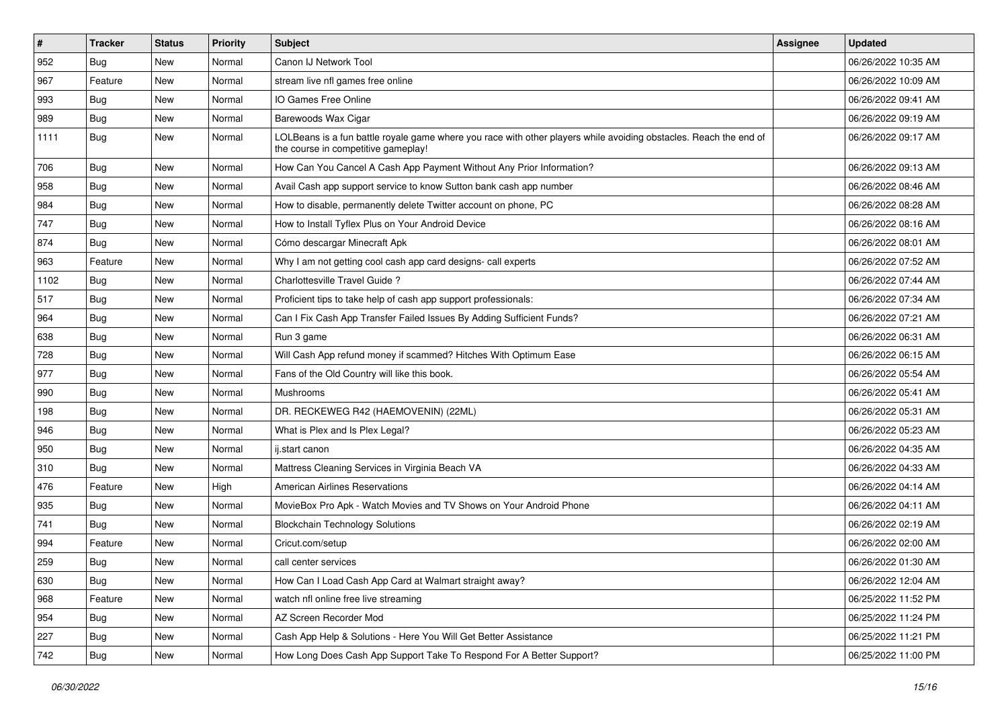| $\vert$ # | Tracker    | <b>Status</b> | <b>Priority</b> | <b>Subject</b>                                                                                                                                           | Assignee | <b>Updated</b>      |
|-----------|------------|---------------|-----------------|----------------------------------------------------------------------------------------------------------------------------------------------------------|----------|---------------------|
| 952       | <b>Bug</b> | New           | Normal          | Canon IJ Network Tool                                                                                                                                    |          | 06/26/2022 10:35 AM |
| 967       | Feature    | <b>New</b>    | Normal          | stream live nfl games free online                                                                                                                        |          | 06/26/2022 10:09 AM |
| 993       | Bug        | New           | Normal          | IO Games Free Online                                                                                                                                     |          | 06/26/2022 09:41 AM |
| 989       | <b>Bug</b> | New           | Normal          | Barewoods Wax Cigar                                                                                                                                      |          | 06/26/2022 09:19 AM |
| 1111      | Bug        | New           | Normal          | LOLBeans is a fun battle royale game where you race with other players while avoiding obstacles. Reach the end of<br>the course in competitive gameplay! |          | 06/26/2022 09:17 AM |
| 706       | <b>Bug</b> | New           | Normal          | How Can You Cancel A Cash App Payment Without Any Prior Information?                                                                                     |          | 06/26/2022 09:13 AM |
| 958       | Bug        | New           | Normal          | Avail Cash app support service to know Sutton bank cash app number                                                                                       |          | 06/26/2022 08:46 AM |
| 984       | <b>Bug</b> | New           | Normal          | How to disable, permanently delete Twitter account on phone, PC                                                                                          |          | 06/26/2022 08:28 AM |
| 747       | Bug        | New           | Normal          | How to Install Tyflex Plus on Your Android Device                                                                                                        |          | 06/26/2022 08:16 AM |
| 874       | <b>Bug</b> | New           | Normal          | Cómo descargar Minecraft Apk                                                                                                                             |          | 06/26/2022 08:01 AM |
| 963       | Feature    | New           | Normal          | Why I am not getting cool cash app card designs- call experts                                                                                            |          | 06/26/2022 07:52 AM |
| 1102      | <b>Bug</b> | New           | Normal          | Charlottesville Travel Guide?                                                                                                                            |          | 06/26/2022 07:44 AM |
| 517       | Bug        | New           | Normal          | Proficient tips to take help of cash app support professionals:                                                                                          |          | 06/26/2022 07:34 AM |
| 964       | Bug        | <b>New</b>    | Normal          | Can I Fix Cash App Transfer Failed Issues By Adding Sufficient Funds?                                                                                    |          | 06/26/2022 07:21 AM |
| 638       | <b>Bug</b> | New           | Normal          | Run 3 game                                                                                                                                               |          | 06/26/2022 06:31 AM |
| 728       | <b>Bug</b> | New           | Normal          | Will Cash App refund money if scammed? Hitches With Optimum Ease                                                                                         |          | 06/26/2022 06:15 AM |
| 977       | Bug        | New           | Normal          | Fans of the Old Country will like this book.                                                                                                             |          | 06/26/2022 05:54 AM |
| 990       | <b>Bug</b> | New           | Normal          | Mushrooms                                                                                                                                                |          | 06/26/2022 05:41 AM |
| 198       | <b>Bug</b> | New           | Normal          | DR. RECKEWEG R42 (HAEMOVENIN) (22ML)                                                                                                                     |          | 06/26/2022 05:31 AM |
| 946       | <b>Bug</b> | New           | Normal          | What is Plex and Is Plex Legal?                                                                                                                          |          | 06/26/2022 05:23 AM |
| 950       | <b>Bug</b> | New           | Normal          | ij.start canon                                                                                                                                           |          | 06/26/2022 04:35 AM |
| 310       | Bug        | New           | Normal          | Mattress Cleaning Services in Virginia Beach VA                                                                                                          |          | 06/26/2022 04:33 AM |
| 476       | Feature    | New           | High            | American Airlines Reservations                                                                                                                           |          | 06/26/2022 04:14 AM |
| 935       | <b>Bug</b> | New           | Normal          | MovieBox Pro Apk - Watch Movies and TV Shows on Your Android Phone                                                                                       |          | 06/26/2022 04:11 AM |
| 741       | <b>Bug</b> | New           | Normal          | <b>Blockchain Technology Solutions</b>                                                                                                                   |          | 06/26/2022 02:19 AM |
| 994       | Feature    | New           | Normal          | Cricut.com/setup                                                                                                                                         |          | 06/26/2022 02:00 AM |
| 259       | <b>Bug</b> | New           | Normal          | call center services                                                                                                                                     |          | 06/26/2022 01:30 AM |
| 630       | <b>Bug</b> | New           | Normal          | How Can I Load Cash App Card at Walmart straight away?                                                                                                   |          | 06/26/2022 12:04 AM |
| 968       | Feature    | New           | Normal          | watch nfl online free live streaming                                                                                                                     |          | 06/25/2022 11:52 PM |
| 954       | Bug        | New           | Normal          | AZ Screen Recorder Mod                                                                                                                                   |          | 06/25/2022 11:24 PM |
| 227       | <b>Bug</b> | New           | Normal          | Cash App Help & Solutions - Here You Will Get Better Assistance                                                                                          |          | 06/25/2022 11:21 PM |
| 742       | <b>Bug</b> | New           | Normal          | How Long Does Cash App Support Take To Respond For A Better Support?                                                                                     |          | 06/25/2022 11:00 PM |